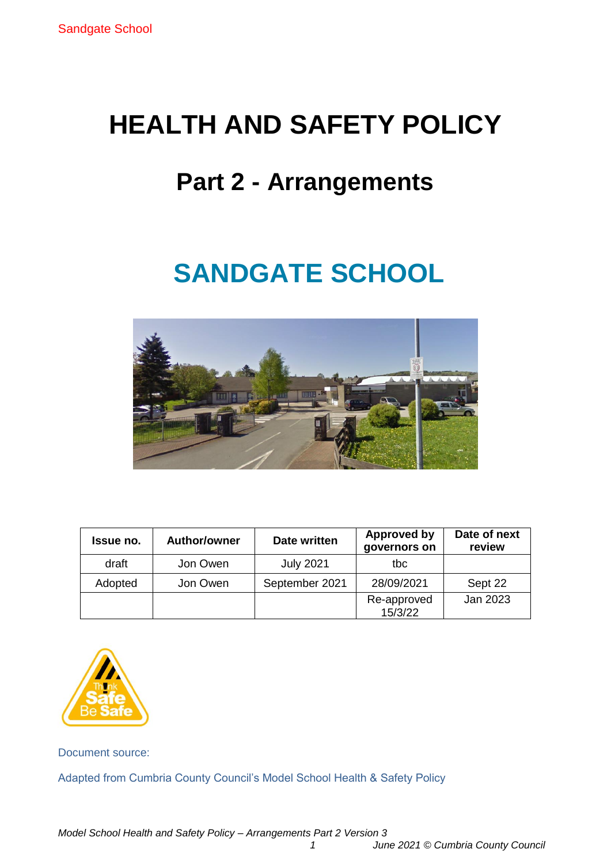# **HEALTH AND SAFETY POLICY**

# **Part 2 - Arrangements**

# **SANDGATE SCHOOL**



| <b>Issue no.</b> | <b>Author/owner</b> | Date written     | <b>Approved by</b><br>governors on | Date of next<br>review |
|------------------|---------------------|------------------|------------------------------------|------------------------|
| draft            | Jon Owen            | <b>July 2021</b> | tbc                                |                        |
| Adopted          | Jon Owen            | September 2021   | 28/09/2021                         | Sept 22                |
|                  |                     |                  | Re-approved<br>15/3/22             | Jan 2023               |



Document source:

Adapted from Cumbria County Council's Model School Health & Safety Policy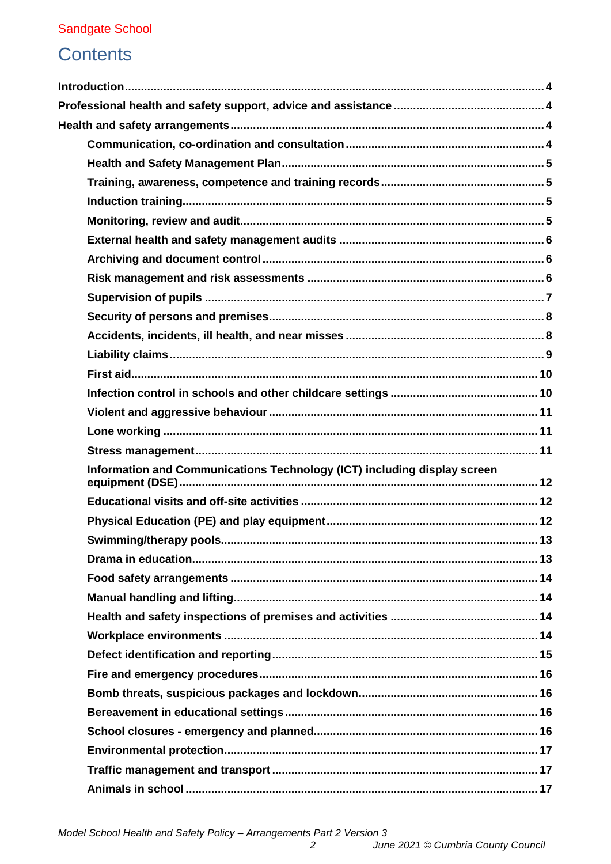# **Contents**

| Information and Communications Technology (ICT) including display screen |  |
|--------------------------------------------------------------------------|--|
|                                                                          |  |
|                                                                          |  |
| 13                                                                       |  |
|                                                                          |  |
|                                                                          |  |
|                                                                          |  |
|                                                                          |  |
|                                                                          |  |
|                                                                          |  |
|                                                                          |  |
|                                                                          |  |
|                                                                          |  |
|                                                                          |  |
|                                                                          |  |
|                                                                          |  |
|                                                                          |  |
|                                                                          |  |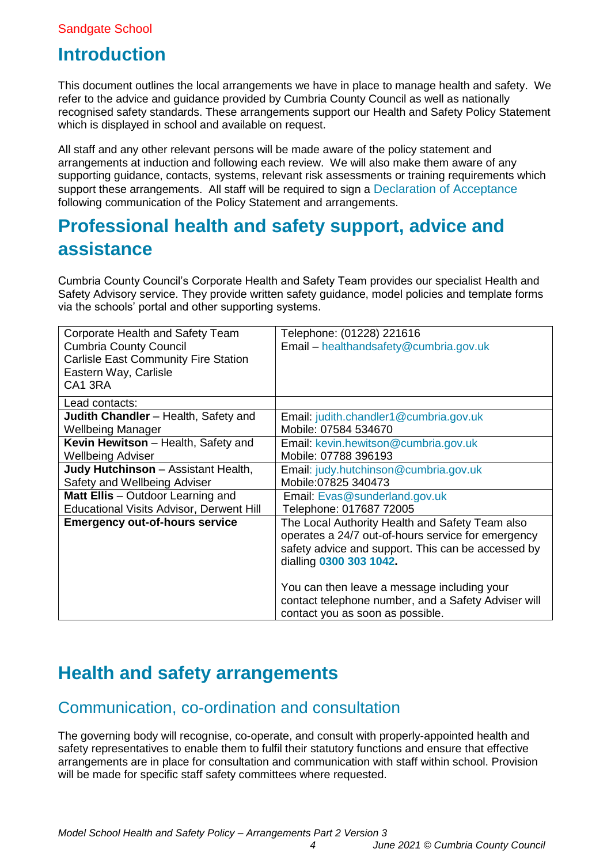# <span id="page-3-0"></span>**Introduction**

This document outlines the local arrangements we have in place to manage health and safety. We refer to the advice and guidance provided by Cumbria County Council as well as nationally recognised safety standards. These arrangements support our Health and Safety Policy Statement which is displayed in school and available on request.

All staff and any other relevant persons will be made aware of the policy statement and arrangements at induction and following each review. We will also make them aware of any supporting guidance, contacts, systems, relevant risk assessments or training requirements which support these arrangements. All staff will be required to sign a [Declaration of Acceptance](#page-25-0) following communication of the Policy Statement and arrangements.

# <span id="page-3-1"></span>**Professional health and safety support, advice and assistance**

Cumbria County Council's Corporate Health and Safety Team provides our specialist Health and Safety Advisory service. They provide written safety guidance, model policies and template forms via the schools' portal and other supporting systems.

| Corporate Health and Safety Team<br><b>Cumbria County Council</b><br><b>Carlisle East Community Fire Station</b><br>Eastern Way, Carlisle<br>CA1 3RA | Telephone: (01228) 221616<br>Email - healthandsafety@cumbria.gov.uk                                                                                                                    |
|------------------------------------------------------------------------------------------------------------------------------------------------------|----------------------------------------------------------------------------------------------------------------------------------------------------------------------------------------|
| Lead contacts:                                                                                                                                       |                                                                                                                                                                                        |
| Judith Chandler - Health, Safety and                                                                                                                 | Email: judith.chandler1@cumbria.gov.uk                                                                                                                                                 |
| <b>Wellbeing Manager</b>                                                                                                                             | Mobile: 07584 534670                                                                                                                                                                   |
| Kevin Hewitson - Health, Safety and                                                                                                                  | Email: kevin.hewitson@cumbria.gov.uk                                                                                                                                                   |
| <b>Wellbeing Adviser</b>                                                                                                                             | Mobile: 07788 396193                                                                                                                                                                   |
| Judy Hutchinson - Assistant Health,                                                                                                                  | Email: judy.hutchinson@cumbria.gov.uk                                                                                                                                                  |
| Safety and Wellbeing Adviser                                                                                                                         | Mobile: 07825 340473                                                                                                                                                                   |
| Matt Ellis - Outdoor Learning and                                                                                                                    | Email: Evas@sunderland.gov.uk                                                                                                                                                          |
| <b>Educational Visits Advisor, Derwent Hill</b>                                                                                                      | Telephone: 017687 72005                                                                                                                                                                |
| <b>Emergency out-of-hours service</b>                                                                                                                | The Local Authority Health and Safety Team also<br>operates a 24/7 out-of-hours service for emergency<br>safety advice and support. This can be accessed by<br>dialling 0300 303 1042. |
|                                                                                                                                                      | You can then leave a message including your<br>contact telephone number, and a Safety Adviser will<br>contact you as soon as possible.                                                 |

# <span id="page-3-2"></span>**Health and safety arrangements**

# <span id="page-3-3"></span>Communication, co-ordination and consultation

The governing body will recognise, co-operate, and consult with properly-appointed health and safety representatives to enable them to fulfil their statutory functions and ensure that effective arrangements are in place for consultation and communication with staff within school. Provision will be made for specific staff safety committees where requested.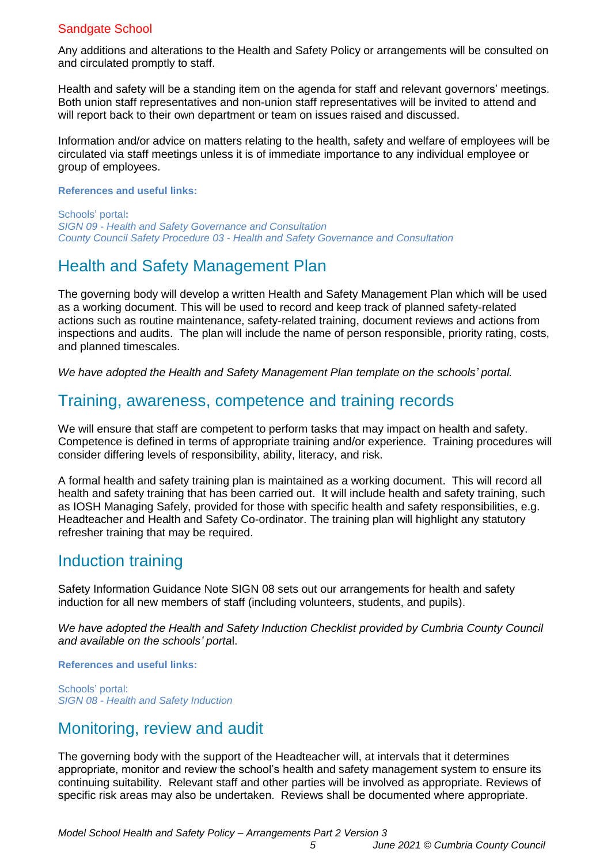Any additions and alterations to the Health and Safety Policy or arrangements will be consulted on and circulated promptly to staff.

Health and safety will be a standing item on the agenda for staff and relevant governors' meetings. Both union staff representatives and non-union staff representatives will be invited to attend and will report back to their own department or team on issues raised and discussed.

Information and/or advice on matters relating to the health, safety and welfare of employees will be circulated via staff meetings unless it is of immediate importance to any individual employee or group of employees.

#### **References and useful links:**

Schools' portal**:** *SIGN 09 - [Health and Safety Governance and Consultation](https://schools.cumbria.gov.uk/Reference%20Library/Forms/AllItems.aspx?RootFolder=%2FReference%20Library%2FHealth%20and%20Safety%2FSafety%20Information%20Guidance%20Notes%20%28SIGNS%29&FolderCTID=0x01200048726C2A165D504480BCAF32B116BC9E&View=%7B9FFF4988%2D18AD%2D4845%2D9E0A%2DC419CCBA536A%7D) County Council Safety Procedure 03 - [Health and Safety Governance and Consultation](https://schools.cumbria.gov.uk/Reference%20Library/Forms/AllItems.aspx?RootFolder=%2FReference%20Library%2FHealth%20and%20Safety%2FCounty%20Council%20Safety%20Procedures&FolderCTID=0x01200048726C2A165D504480BCAF32B116BC9E&View=%7B9FFF4988%2D18AD%2D4845%2D9E0A%2DC419CCBA536A%7D)*

# <span id="page-4-0"></span>Health and Safety Management Plan

The governing body will develop a written Health and Safety Management Plan which will be used as a working document. This will be used to record and keep track of planned safety-related actions such as routine maintenance, safety-related training, document reviews and actions from inspections and audits. The plan will include the name of person responsible, priority rating, costs, and planned timescales.

<span id="page-4-1"></span>*We have adopted the Health and Safety Management Plan template on the schools' portal.*

### Training, awareness, competence and training records

We will ensure that staff are competent to perform tasks that may impact on health and safety. Competence is defined in terms of appropriate training and/or experience. Training procedures will consider differing levels of responsibility, ability, literacy, and risk.

A formal health and safety training plan is maintained as a working document. This will record all health and safety training that has been carried out. It will include health and safety training, such as IOSH Managing Safely, provided for those with specific health and safety responsibilities, e.g. Headteacher and Health and Safety Co-ordinator. The training plan will highlight any statutory refresher training that may be required.

### <span id="page-4-2"></span>Induction training

Safety Information Guidance Note SIGN 08 sets out our arrangements for health and safety induction for all new members of staff (including volunteers, students, and pupils).

*We have adopted the Health and Safety Induction Checklist provided by Cumbria County Council and available on the schools' porta*l.

**References and useful links:**

Schools' portal: *SIGN 08 - [Health and Safety Induction](https://schools.cumbria.gov.uk/Reference%20Library/Forms/AllItems.aspx?RootFolder=%2FReference%20Library%2FHealth%20and%20Safety%2FSafety%20Information%20Guidance%20Notes%20%28SIGNS%29&FolderCTID=0x01200048726C2A165D504480BCAF32B116BC9E&View=%7B9FFF4988%2D18AD%2D4845%2D9E0A%2DC419CCBA536A%7D)*

## <span id="page-4-3"></span>Monitoring, review and audit

The governing body with the support of the Headteacher will, at intervals that it determines appropriate, monitor and review the school's health and safety management system to ensure its continuing suitability. Relevant staff and other parties will be involved as appropriate. Reviews of specific risk areas may also be undertaken. Reviews shall be documented where appropriate.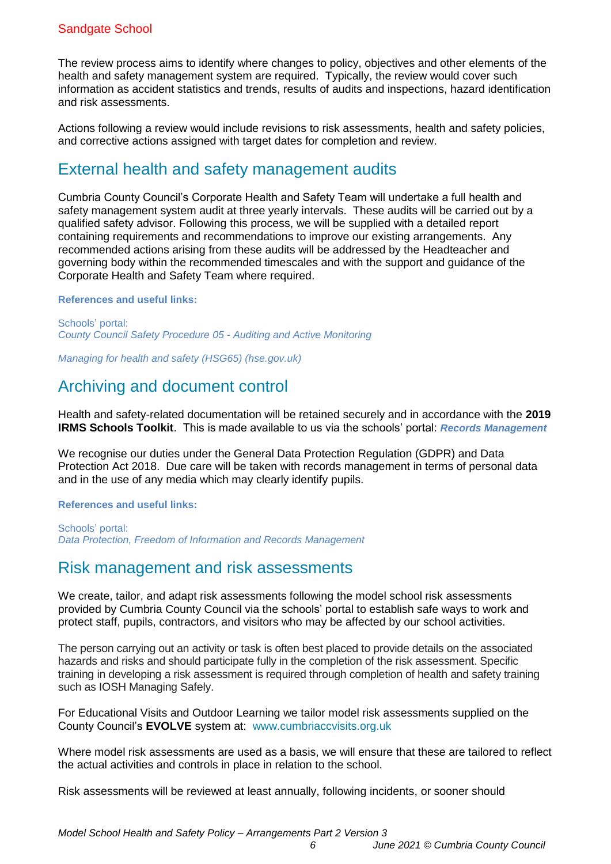The review process aims to identify where changes to policy, objectives and other elements of the health and safety management system are required. Typically, the review would cover such information as accident statistics and trends, results of audits and inspections, hazard identification and risk assessments.

Actions following a review would include revisions to risk assessments, health and safety policies, and corrective actions assigned with target dates for completion and review.

## <span id="page-5-0"></span>External health and safety management audits

Cumbria County Council's Corporate Health and Safety Team will undertake a full health and safety management system audit at three yearly intervals. These audits will be carried out by a qualified safety advisor. Following this process, we will be supplied with a detailed report containing requirements and recommendations to improve our existing arrangements. Any recommended actions arising from these audits will be addressed by the Headteacher and governing body within the recommended timescales and with the support and guidance of the Corporate Health and Safety Team where required.

#### **References and useful links:**

Schools' portal: *[County Council Safety Procedure 05](https://schools.cumbria.gov.uk/Reference%20Library/Forms/AllItems.aspx?RootFolder=%2FReference%20Library%2FHealth%20and%20Safety%2FCounty%20Council%20Safety%20Procedures&FolderCTID=0x01200048726C2A165D504480BCAF32B116BC9E&View=%7B9FFF4988%2D18AD%2D4845%2D9E0A%2DC419CCBA536A%7D) - Auditing and Active Monitoring*

<span id="page-5-1"></span>*[Managing for health and safety \(HSG65\) \(hse.gov.uk\)](https://www.hse.gov.uk/pubns/books/hsg65.htm)*

# Archiving and document control

Health and safety-related documentation will be retained securely and in accordance with the **2019 IRMS Schools Toolkit**. This is made available to us via the schools' portal: *[Records Management](https://schools.cumbria.gov.uk/Reference%20Library/Forms/AllItems.aspx?RootFolder=%2FReference%20Library%2FData%20Protection%2C%20Freedom%20of%20Information%20and%20Records%20Management%2FRecords%20Management&FolderCTID=0x01200048726C2A165D504480BCAF32B116BC9E&View=%7B9FFF4988%2D18AD%2D4845%2D9E0A%2DC419CCBA536A%7D)* 

We recognise our duties under the General Data Protection Regulation (GDPR) and Data Protection Act 2018. Due care will be taken with records management in terms of personal data and in the use of any media which may clearly identify pupils.

#### **References and useful links:**

Schools' portal: *[Data Protection, Freedom of Information and Records Management](https://schools.cumbria.gov.uk/Reference%20Library/Forms/AllItems.aspx?RootFolder=%2FReference%20Library%2FData%20Protection%2C%20Freedom%20of%20Information%20and%20Records%20Management&FolderCTID=0x01200048726C2A165D504480BCAF32B116BC9E&View=%7B9FFF4988%2D18AD%2D4845%2D9E0A%2DC419CCBA536A%7D)* 

### <span id="page-5-2"></span>Risk management and risk assessments

We create, tailor, and adapt risk assessments following the model school risk assessments provided by Cumbria County Council via the schools' portal to establish safe ways to work and protect staff, pupils, contractors, and visitors who may be affected by our school activities.

The person carrying out an activity or task is often best placed to provide details on the associated hazards and risks and should participate fully in the completion of the risk assessment. Specific training in developing a risk assessment is required through completion of health and safety training such as IOSH Managing Safely.

For Educational Visits and Outdoor Learning we tailor model risk assessments supplied on the County Council's **EVOLVE** system at: [www.cumbriaccvisits.org.uk](http://www.cumbriaccvisits.org.uk/)

Where model risk assessments are used as a basis, we will ensure that these are tailored to reflect the actual activities and controls in place in relation to the school.

Risk assessments will be reviewed at least annually, following incidents, or sooner should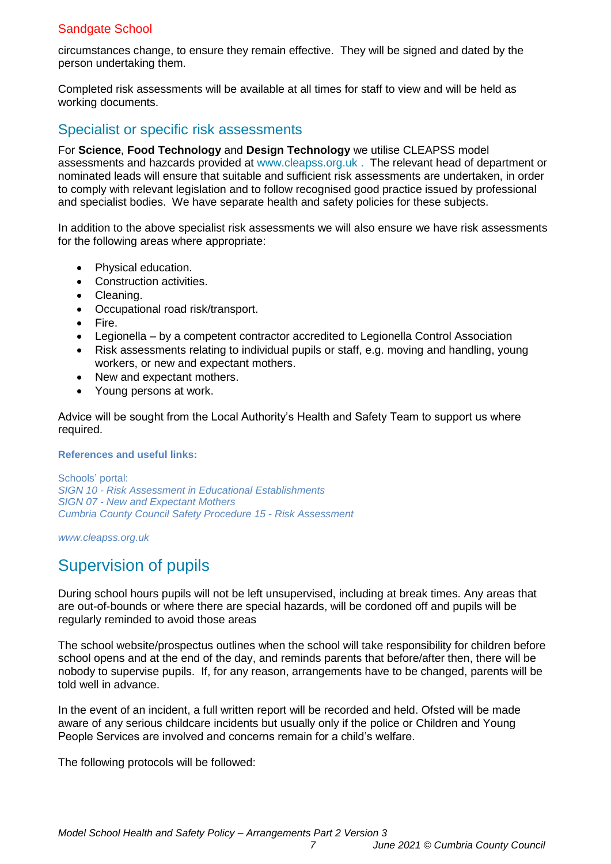circumstances change, to ensure they remain effective. They will be signed and dated by the person undertaking them.

Completed risk assessments will be available at all times for staff to view and will be held as working documents.

### Specialist or specific risk assessments

For **Science**, **Food Technology** and **Design Technology** we utilise CLEAPSS model assessments and hazcards provided at [www.cleapss.org.uk](http://www.cleapss.org.uk/) . The relevant head of department or nominated leads will ensure that suitable and sufficient risk assessments are undertaken, in order to comply with relevant legislation and to follow recognised good practice issued by professional and specialist bodies. We have separate health and safety policies for these subjects.

In addition to the above specialist risk assessments we will also ensure we have risk assessments for the following areas where appropriate:

- Physical education.
- Construction activities.
- Cleaning.
- Occupational road risk/transport.
- Fire.
- Legionella by a competent contractor accredited to Legionella Control Association
- Risk assessments relating to individual pupils or staff, e.g. moving and handling, young workers, or new and expectant mothers.
- New and expectant mothers.
- Young persons at work.

Advice will be sought from the Local Authority's Health and Safety Team to support us where required.

#### **References and useful links:**

Schools' portal: *SIGN 10 - [Risk Assessment in Educational Establishments](https://schools.cumbria.gov.uk/Reference%20Library/Forms/AllItems.aspx?RootFolder=%2FReference%20Library%2FHealth%20and%20Safety%2FSafety%20Information%20Guidance%20Notes%20%28SIGNS%29&FolderCTID=0x01200048726C2A165D504480BCAF32B116BC9E&View=%7B9FFF4988%2D18AD%2D4845%2D9E0A%2DC419CCBA536A%7D) SIGN 07 - [New and Expectant Mothers](https://schools.cumbria.gov.uk/Reference%20Library/Forms/AllItems.aspx?RootFolder=%2FReference%20Library%2FHealth%20and%20Safety%2FSafety%20Information%20Guidance%20Notes%20%28SIGNS%29&FolderCTID=0x01200048726C2A165D504480BCAF32B116BC9E&View=%7B9FFF4988%2D18AD%2D4845%2D9E0A%2DC419CCBA536A%7D) [Cumbria County Council Safety Procedure 15 -](https://schools.cumbria.gov.uk/Reference%20Library/Forms/AllItems.aspx?RootFolder=%2FReference%20Library%2FHealth%20and%20Safety%2FCounty%20Council%20Safety%20Procedures&FolderCTID=0x01200048726C2A165D504480BCAF32B116BC9E&View=%7B9FFF4988%2D18AD%2D4845%2D9E0A%2DC419CCBA536A%7D) Risk Assessment*

<span id="page-6-0"></span>*[www.cleapss.org.uk](http://www.cleapss.org.uk/)*

# Supervision of pupils

During school hours pupils will not be left unsupervised, including at break times. Any areas that are out-of-bounds or where there are special hazards, will be cordoned off and pupils will be regularly reminded to avoid those areas

The school website/prospectus outlines when the school will take responsibility for children before school opens and at the end of the day, and reminds parents that before/after then, there will be nobody to supervise pupils. If, for any reason, arrangements have to be changed, parents will be told well in advance.

In the event of an incident, a full written report will be recorded and held. Ofsted will be made aware of any serious childcare incidents but usually only if the police or Children and Young People Services are involved and concerns remain for a child's welfare.

The following protocols will be followed: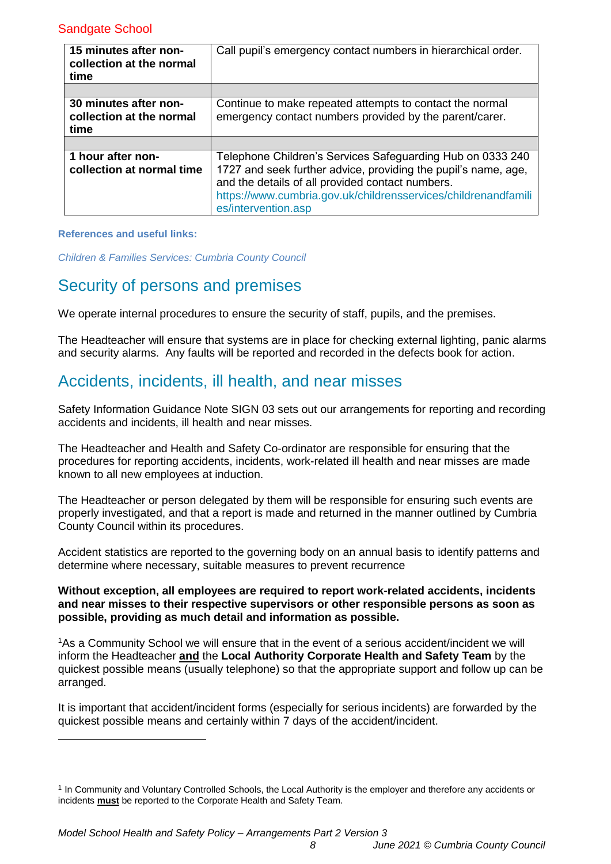| 15 minutes after non-<br>collection at the normal<br>time | Call pupil's emergency contact numbers in hierarchical order.                                                                                                                                                                                                             |
|-----------------------------------------------------------|---------------------------------------------------------------------------------------------------------------------------------------------------------------------------------------------------------------------------------------------------------------------------|
|                                                           |                                                                                                                                                                                                                                                                           |
| 30 minutes after non-<br>collection at the normal<br>time | Continue to make repeated attempts to contact the normal<br>emergency contact numbers provided by the parent/carer.                                                                                                                                                       |
|                                                           |                                                                                                                                                                                                                                                                           |
| 1 hour after non-<br>collection at normal time            | Telephone Children's Services Safeguarding Hub on 0333 240<br>1727 and seek further advice, providing the pupil's name, age,<br>and the details of all provided contact numbers.<br>https://www.cumbria.gov.uk/childrensservices/childrenandfamili<br>es/intervention.asp |

#### **References and useful links:**

-

<span id="page-7-0"></span>*[Children & Families Services: Cumbria County Council](https://www.intouch.ccc/childrensservices/)*

### Security of persons and premises

We operate internal procedures to ensure the security of staff, pupils, and the premises.

The Headteacher will ensure that systems are in place for checking external lighting, panic alarms and security alarms. Any faults will be reported and recorded in the defects book for action.

# <span id="page-7-1"></span>Accidents, incidents, ill health, and near misses

Safety Information Guidance Note SIGN 03 sets out our arrangements for reporting and recording accidents and incidents, ill health and near misses.

The Headteacher and Health and Safety Co-ordinator are responsible for ensuring that the procedures for reporting accidents, incidents, work-related ill health and near misses are made known to all new employees at induction.

The Headteacher or person delegated by them will be responsible for ensuring such events are properly investigated, and that a report is made and returned in the manner outlined by Cumbria County Council within its procedures.

Accident statistics are reported to the governing body on an annual basis to identify patterns and determine where necessary, suitable measures to prevent recurrence

#### **Without exception, all employees are required to report work-related accidents, incidents and near misses to their respective supervisors or other responsible persons as soon as possible, providing as much detail and information as possible.**

<sup>1</sup>As a Community School we will ensure that in the event of a serious accident/incident we will inform the Headteacher **and** the **Local Authority Corporate Health and Safety Team** by the quickest possible means (usually telephone) so that the appropriate support and follow up can be arranged.

It is important that accident/incident forms (especially for serious incidents) are forwarded by the quickest possible means and certainly within 7 days of the accident/incident.

<sup>1</sup> In Community and Voluntary Controlled Schools, the Local Authority is the employer and therefore any accidents or incidents **must** be reported to the Corporate Health and Safety Team.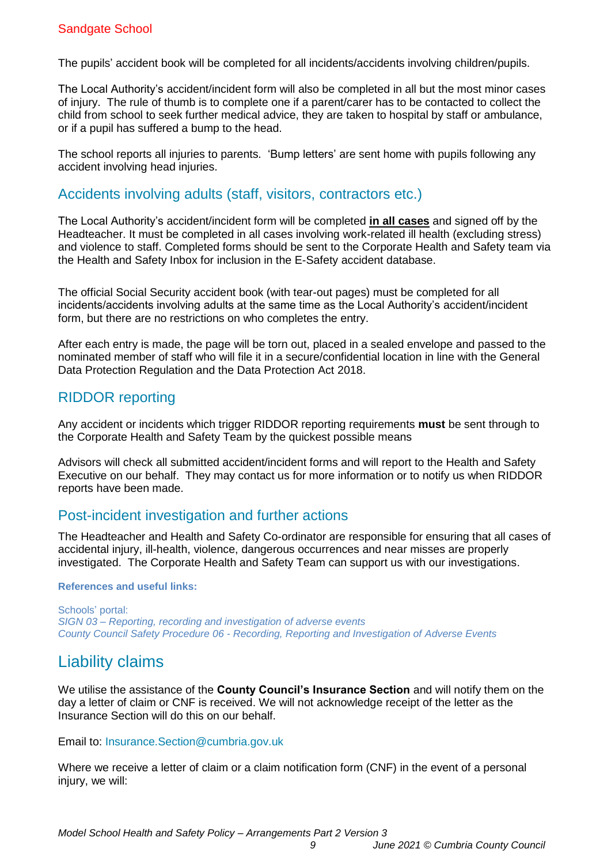The pupils' accident book will be completed for all incidents/accidents involving children/pupils.

The Local Authority's accident/incident form will also be completed in all but the most minor cases of injury. The rule of thumb is to complete one if a parent/carer has to be contacted to collect the child from school to seek further medical advice, they are taken to hospital by staff or ambulance, or if a pupil has suffered a bump to the head.

The school reports all injuries to parents. 'Bump letters' are sent home with pupils following any accident involving head injuries.

### Accidents involving adults (staff, visitors, contractors etc.)

The Local Authority's accident/incident form will be completed **in all cases** and signed off by the Headteacher. It must be completed in all cases involving work-related ill health (excluding stress) and violence to staff. Completed forms should be sent to the Corporate Health and Safety team via the Health and Safety Inbox for inclusion in the E-Safety accident database.

The official Social Security accident book (with tear-out pages) must be completed for all incidents/accidents involving adults at the same time as the Local Authority's accident/incident form, but there are no restrictions on who completes the entry.

After each entry is made, the page will be torn out, placed in a sealed envelope and passed to the nominated member of staff who will file it in a secure/confidential location in line with the General Data Protection Regulation and the Data Protection Act 2018.

### RIDDOR reporting

Any accident or incidents which trigger RIDDOR reporting requirements **must** be sent through to the Corporate Health and Safety Team by the quickest possible means

Advisors will check all submitted accident/incident forms and will report to the Health and Safety Executive on our behalf. They may contact us for more information or to notify us when RIDDOR reports have been made.

### Post-incident investigation and further actions

The Headteacher and Health and Safety Co-ordinator are responsible for ensuring that all cases of accidental injury, ill-health, violence, dangerous occurrences and near misses are properly investigated. The Corporate Health and Safety Team can support us with our investigations.

#### **References and useful links:**

Schools' portal: *SIGN 03 – Reporting, [recording and investigation of adverse events](https://schools.cumbria.gov.uk/Reference%20Library/Forms/AllItems.aspx?RootFolder=%2FReference%20Library%2FHealth%20and%20Safety%2FSafety%20Information%20Guidance%20Notes%20%28SIGNS%29&FolderCTID=0x01200048726C2A165D504480BCAF32B116BC9E&View=%7B9FFF4988%2D18AD%2D4845%2D9E0A%2DC419CCBA536A%7D) [County Council Safety Procedure 06](https://schools.cumbria.gov.uk/Reference%20Library/Forms/AllItems.aspx?RootFolder=%2FReference%20Library%2FHealth%20and%20Safety%2FCounty%20Council%20Safety%20Procedures&FolderCTID=0x01200048726C2A165D504480BCAF32B116BC9E&View=%7B9FFF4988%2D18AD%2D4845%2D9E0A%2DC419CCBA536A%7D) - Recording, Reporting and Investigation of Adverse Events*

# <span id="page-8-0"></span>Liability claims

We utilise the assistance of the **County Council's Insurance Section** and will notify them on the day a letter of claim or CNF is received. We will not acknowledge receipt of the letter as the Insurance Section will do this on our behalf.

Email to: [Insurance.Section@cumbria.gov.uk](mailto:Insurance.Section@cumbria.gov.uk) 

Where we receive a letter of claim or a claim notification form (CNF) in the event of a personal injury, we will: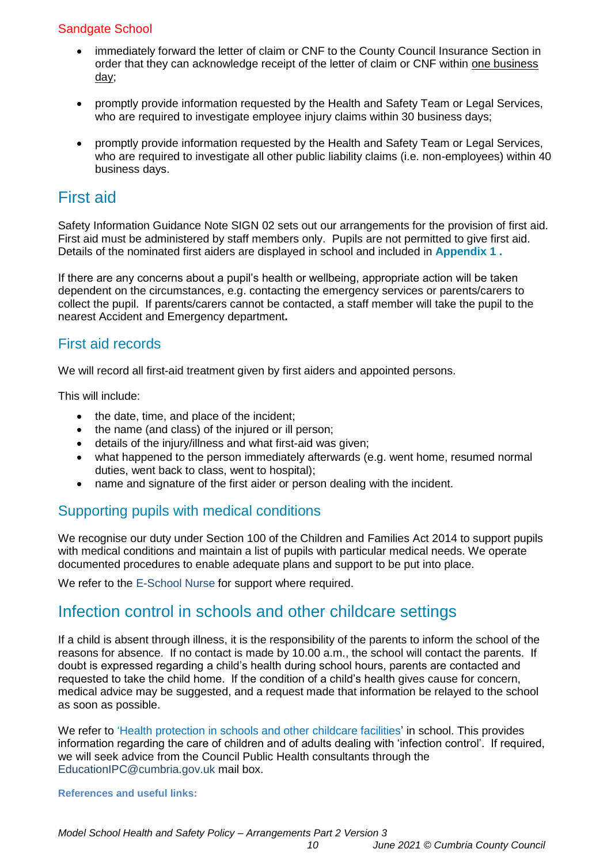- immediately forward the letter of claim or CNF to the County Council Insurance Section in order that they can acknowledge receipt of the letter of claim or CNF within one business day;
- promptly provide information requested by the Health and Safety Team or Legal Services, who are required to investigate employee injury claims within 30 business days;
- promptly provide information requested by the Health and Safety Team or Legal Services, who are required to investigate all other public liability claims (i.e. non-employees) within 40 business days.

# <span id="page-9-0"></span>First aid

Safety Information Guidance Note SIGN 02 sets out our arrangements for the provision of first aid. First aid must be administered by staff members only. Pupils are not permitted to give first aid. Details of the nominated first aiders are displayed in school and included in **[Appendix 1](#page-23-0) .**

If there are any concerns about a pupil's health or wellbeing, appropriate action will be taken dependent on the circumstances, e.g. contacting the emergency services or parents/carers to collect the pupil. If parents/carers cannot be contacted, a staff member will take the pupil to the nearest Accident and Emergency department**.**

### First aid records

We will record all first-aid treatment given by first aiders and appointed persons.

This will include:

- the date, time, and place of the incident;
- the name (and class) of the injured or ill person;
- details of the injury/illness and what first-aid was given;
- what happened to the person immediately afterwards (e.g. went home, resumed normal duties, went back to class, went to hospital);
- name and signature of the first aider or person dealing with the incident.

### Supporting pupils with medical conditions

We recognise our duty under Section 100 of the Children and Families Act 2014 to support pupils with medical conditions and maintain a list of pupils with particular medical needs. We operate documented procedures to enable adequate plans and support to be put into place.

<span id="page-9-1"></span>We refer to the [E-School Nurse](https://www.cumbria.gov.uk/ph5to19/priorities.asp) for support where required.

## Infection control in schools and other childcare settings

If a child is absent through illness, it is the responsibility of the parents to inform the school of the reasons for absence. If no contact is made by 10.00 a.m., the school will contact the parents. If doubt is expressed regarding a child's health during school hours, parents are contacted and requested to take the child home. If the condition of a child's health gives cause for concern, medical advice may be suggested, and a request made that information be relayed to the school as soon as possible.

We refer to ['Health protection in schools and other childcare facilities'](https://www.gov.uk/government/publications/health-protection-in-schools-and-other-childcare-facilities) in school. This provides information regarding the care of children and of adults dealing with 'infection control'. If required, we will seek advice from the Council Public Health consultants through the [EducationIPC@cumbria.gov.uk](mailto:EducationIPC@cumbria.gov.uk) mail box.

#### **References and useful links:**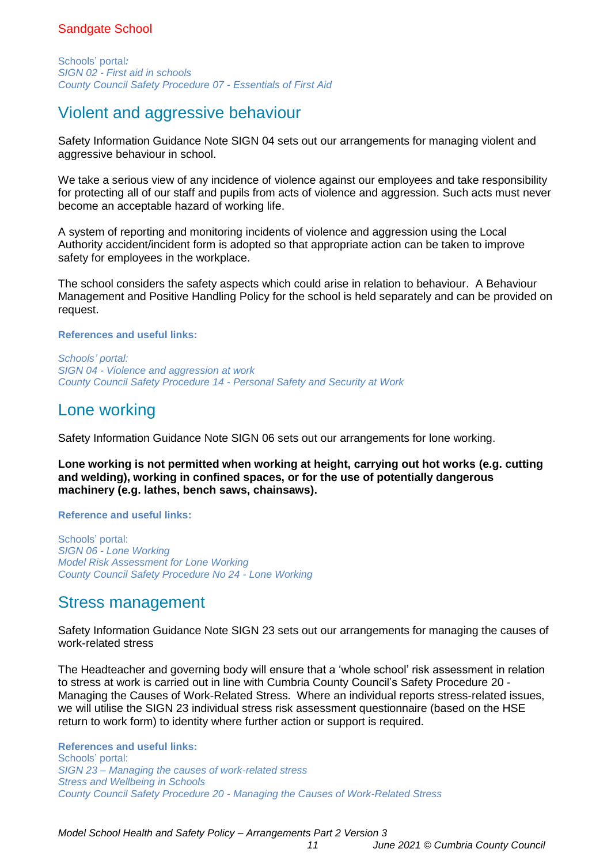Schools' portal*: SIGN 02 - [First aid in schools](https://schools.cumbria.gov.uk/Reference%20Library/Forms/AllItems.aspx?RootFolder=%2FReference%20Library%2FHealth%20and%20Safety%2FSafety%20Information%20Guidance%20Notes%20%28SIGNS%29&FolderCTID=0x01200048726C2A165D504480BCAF32B116BC9E&View=%7B9FFF4988%2D18AD%2D4845%2D9E0A%2DC419CCBA536A%7D) [County Council Safety Procedure 07](https://schools.cumbria.gov.uk/Reference%20Library/Forms/AllItems.aspx?RootFolder=%2FReference%20Library%2FHealth%20and%20Safety%2FCounty%20Council%20Safety%20Procedures&FolderCTID=0x01200048726C2A165D504480BCAF32B116BC9E&View=%7B9FFF4988%2D18AD%2D4845%2D9E0A%2DC419CCBA536A%7D) - Essentials of First Aid*

# <span id="page-10-0"></span>Violent and aggressive behaviour

Safety Information Guidance Note SIGN 04 sets out our arrangements for managing violent and aggressive behaviour in school.

We take a serious view of any incidence of violence against our employees and take responsibility for protecting all of our staff and pupils from acts of violence and aggression. Such acts must never become an acceptable hazard of working life.

A system of reporting and monitoring incidents of violence and aggression using the Local Authority accident/incident form is adopted so that appropriate action can be taken to improve safety for employees in the workplace.

The school considers the safety aspects which could arise in relation to behaviour. A Behaviour Management and Positive Handling Policy for the school is held separately and can be provided on request.

#### **References and useful links:**

*Schools' portal: SIGN 04 - Violence and aggression at work County Council Safety Procedure 14 - [Personal Safety and Security at Work](https://schools.cumbria.gov.uk/Reference%20Library/Forms/AllItems.aspx?RootFolder=%2FReference%20Library%2FHealth%20and%20Safety%2FCounty%20Council%20Safety%20Procedures&FolderCTID=0x01200048726C2A165D504480BCAF32B116BC9E&View=%7B9FFF4988%2D18AD%2D4845%2D9E0A%2DC419CCBA536A%7D)*

### <span id="page-10-1"></span>Lone working

Safety Information Guidance Note SIGN 06 sets out our arrangements for lone working.

**Lone working is not permitted when working at height, carrying out hot works (e.g. cutting and welding), working in confined spaces, or for the use of potentially dangerous machinery (e.g. lathes, bench saws, chainsaws).**

#### **Reference and useful links:**

Schools' portal: *SIGN 06 - [Lone Working](https://schools.cumbria.gov.uk/Reference%20Library/Forms/AllItems.aspx?RootFolder=%2FReference%20Library%2FHealth%20and%20Safety%2FSafety%20Information%20Guidance%20Notes%20%28SIGNS%29&FolderCTID=0x01200048726C2A165D504480BCAF32B116BC9E&View=%7B9FFF4988%2D18AD%2D4845%2D9E0A%2DC419CCBA536A%7D)  [Model Risk Assessment](https://schools.cumbria.gov.uk/Reference%20Library/Forms/AllItems.aspx?RootFolder=%2FReference%20Library%2FHealth%20and%20Safety%2FLone%20Working&FolderCTID=0x01200048726C2A165D504480BCAF32B116BC9E&View=%7B9FFF4988%2D18AD%2D4845%2D9E0A%2DC419CCBA536A%7D) for Lone Working [County Council Safety Procedure No 24 -](https://schools.cumbria.gov.uk/Reference%20Library/Forms/AllItems.aspx?RootFolder=%2FReference%20Library%2FHealth%20and%20Safety%2FCounty%20Council%20Safety%20Procedures&FolderCTID=0x01200048726C2A165D504480BCAF32B116BC9E&View=%7B9FFF4988%2D18AD%2D4845%2D9E0A%2DC419CCBA536A%7D) Lone Working*

## <span id="page-10-2"></span>Stress management

Safety Information Guidance Note SIGN 23 sets out our arrangements for managing the causes of work-related stress

The Headteacher and governing body will ensure that a 'whole school' risk assessment in relation to stress at work is carried out in line with Cumbria County Council's Safety Procedure 20 - Managing the Causes of Work-Related Stress. Where an individual reports stress-related issues, we will utilise the SIGN 23 individual stress risk assessment questionnaire (based on the HSE return to work form) to identity where further action or support is required.

**References and useful links:** Schools' portal: *SIGN 23 – Managing the causes of work-related stress [Stress and Wellbeing in Schools](https://schools.cumbria.gov.uk/Reference%20Library/Forms/AllItems.aspx?RootFolder=%2FReference%20Library%2FHealth%20and%20Safety%2FStress%20and%20Wellbeing%20in%20Schools&FolderCTID=0x01200048726C2A165D504480BCAF32B116BC9E&View=%7B9FFF4988%2D18AD%2D4845%2D9E0A%2DC419CCBA536A%7D)  County Council Safety Procedure 20 - [Managing the Causes of Work-Related Stress](https://schools.cumbria.gov.uk/Reference%20Library/Forms/AllItems.aspx?RootFolder=%2FReference%20Library%2FHealth%20and%20Safety%2FCounty%20Council%20Safety%20Procedures&FolderCTID=0x01200048726C2A165D504480BCAF32B116BC9E&View=%7B9FFF4988%2D18AD%2D4845%2D9E0A%2DC419CCBA536A%7D)*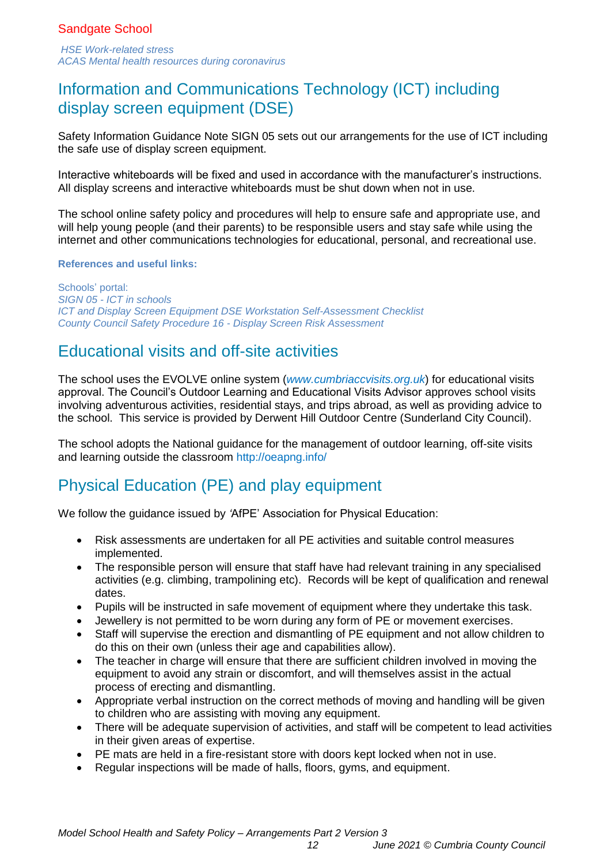*[HSE](https://www.hse.gov.uk/stress/?utm_source=govdelivery&utm_medium=email&utm_campaign=health-stress&utm_term=stress-website&utm_content=stress-5-apr-21) Work-related stress [ACAS Mental health resources during coronavirus](https://www.acas.org.uk/mental-health-resources?utm_source=govdelivery&utm_medium=email&utm_campaign=health-stress-hse&utm_term=acas&utm_content=stress-5-apr-21)*

# <span id="page-11-0"></span>Information and Communications Technology (ICT) including display screen equipment (DSE)

Safety Information Guidance Note SIGN 05 sets out our arrangements for the use of ICT including the safe use of display screen equipment.

Interactive whiteboards will be fixed and used in accordance with the manufacturer's instructions. All display screens and interactive whiteboards must be shut down when not in use.

The school online safety policy and procedures will help to ensure safe and appropriate use, and will help young people (and their parents) to be responsible users and stay safe while using the internet and other communications technologies for educational, personal, and recreational use.

#### **References and useful links:**

Schools' portal: *SIGN 05 - [ICT in schools](https://schools.cumbria.gov.uk/Reference%20Library/Forms/AllItems.aspx?RootFolder=%2FReference%20Library%2FHealth%20and%20Safety%2FSafety%20Information%20Guidance%20Notes%20%28SIGNS%29&FolderCTID=0x01200048726C2A165D504480BCAF32B116BC9E&View=%7B9FFF4988%2D18AD%2D4845%2D9E0A%2DC419CCBA536A%7D)* *[ICT and Display Screen Equipment DSE Workstation Self-Assessment](https://schools.cumbria.gov.uk/Reference%20Library/Forms/AllItems.aspx?RootFolder=%2FReference%20Library%2FHealth%20and%20Safety%2FICT%20and%20Display%20Screen%20Equipment&FolderCTID=0x01200048726C2A165D504480BCAF32B116BC9E&View=%7B9FFF4988%2D18AD%2D4845%2D9E0A%2DC419CCBA536A%7D) Checklist [County Council Safety Procedure 16 -](https://schools.cumbria.gov.uk/Reference%20Library/Forms/AllItems.aspx?RootFolder=%2FReference%20Library%2FHealth%20and%20Safety%2FCounty%20Council%20Safety%20Procedures&FolderCTID=0x01200048726C2A165D504480BCAF32B116BC9E&View=%7B9FFF4988%2D18AD%2D4845%2D9E0A%2DC419CCBA536A%7D) Display Screen Risk Assessment* 

# <span id="page-11-1"></span>Educational visits and off-site activities

The school uses the EVOLVE online system (*[www.cumbriaccvisits.org.uk](http://www.cumbriaccvisits.org.uk/)*) for educational visits approval. The Council's Outdoor Learning and Educational Visits Advisor approves school visits involving adventurous activities, residential stays, and trips abroad, as well as providing advice to the school. This service is provided by Derwent Hill Outdoor Centre (Sunderland City Council).

The school adopts the National guidance for the management of outdoor learning, off-site visits and learning outside the classroom<http://oeapng.info/>

# <span id="page-11-2"></span>Physical Education (PE) and play equipment

We follow the guidance issued by *'*AfPE' Association for Physical Education:

- Risk assessments are undertaken for all PE activities and suitable control measures implemented.
- The responsible person will ensure that staff have had relevant training in any specialised activities (e.g. climbing, trampolining etc). Records will be kept of qualification and renewal dates.
- Pupils will be instructed in safe movement of equipment where they undertake this task.
- Jewellery is not permitted to be worn during any form of PE or movement exercises.
- Staff will supervise the erection and dismantling of PE equipment and not allow children to do this on their own (unless their age and capabilities allow).
- The teacher in charge will ensure that there are sufficient children involved in moving the equipment to avoid any strain or discomfort, and will themselves assist in the actual process of erecting and dismantling.
- Appropriate verbal instruction on the correct methods of moving and handling will be given to children who are assisting with moving any equipment.
- There will be adequate supervision of activities, and staff will be competent to lead activities in their given areas of expertise.
- PE mats are held in a fire-resistant store with doors kept locked when not in use.
- Regular inspections will be made of halls, floors, gyms, and equipment.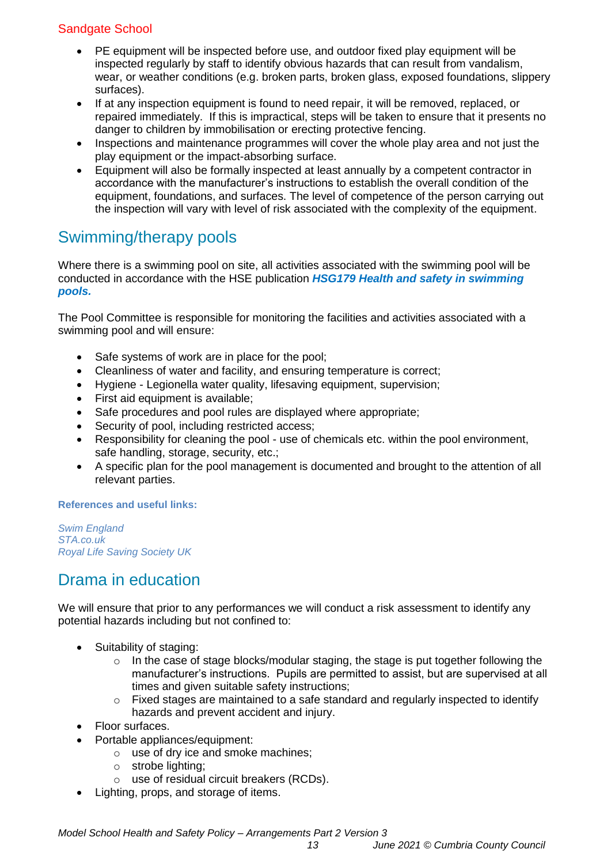- PE equipment will be inspected before use, and outdoor fixed play equipment will be inspected regularly by staff to identify obvious hazards that can result from vandalism, wear, or weather conditions (e.g. broken parts, broken glass, exposed foundations, slippery surfaces).
- If at any inspection equipment is found to need repair, it will be removed, replaced, or repaired immediately. If this is impractical, steps will be taken to ensure that it presents no danger to children by immobilisation or erecting protective fencing.
- Inspections and maintenance programmes will cover the whole play area and not just the play equipment or the impact-absorbing surface.
- Equipment will also be formally inspected at least annually by a competent contractor in accordance with the manufacturer's instructions to establish the overall condition of the equipment, foundations, and surfaces. The level of competence of the person carrying out the inspection will vary with level of risk associated with the complexity of the equipment.

# <span id="page-12-0"></span>Swimming/therapy pools

Where there is a swimming pool on site, all activities associated with the swimming pool will be conducted in accordance with the HSE publication *[HSG179 Health and safety in swimming](https://www.hse.gov.uk/pubns/books/hsg179.htm)  [pools.](https://www.hse.gov.uk/pubns/books/hsg179.htm)*

The Pool Committee is responsible for monitoring the facilities and activities associated with a swimming pool and will ensure:

- Safe systems of work are in place for the pool:
- Cleanliness of water and facility, and ensuring temperature is correct;
- Hygiene Legionella water quality, lifesaving equipment, supervision;
- First aid equipment is available;
- Safe procedures and pool rules are displayed where appropriate;
- Security of pool, including restricted access;
- Responsibility for cleaning the pool use of chemicals etc. within the pool environment, safe handling, storage, security, etc.;
- A specific plan for the pool management is documented and brought to the attention of all relevant parties.

#### **References and useful links:**

*[Swim England](https://www.swimming.org/swimengland/)  [STA.co.uk](http://sta.co.uk/) [Royal Life Saving Society UK](https://www.rlss.org.uk/)* 

# <span id="page-12-1"></span>Drama in education

We will ensure that prior to any performances we will conduct a risk assessment to identify any potential hazards including but not confined to:

- Suitability of staging:
	- o In the case of stage blocks/modular staging, the stage is put together following the manufacturer's instructions. Pupils are permitted to assist, but are supervised at all times and given suitable safety instructions;
	- $\circ$  Fixed stages are maintained to a safe standard and regularly inspected to identify hazards and prevent accident and injury.
- Floor surfaces.
- Portable appliances/equipment:
	- o use of dry ice and smoke machines;
	- o strobe lighting;
	- o use of residual circuit breakers (RCDs).
- Lighting, props, and storage of items.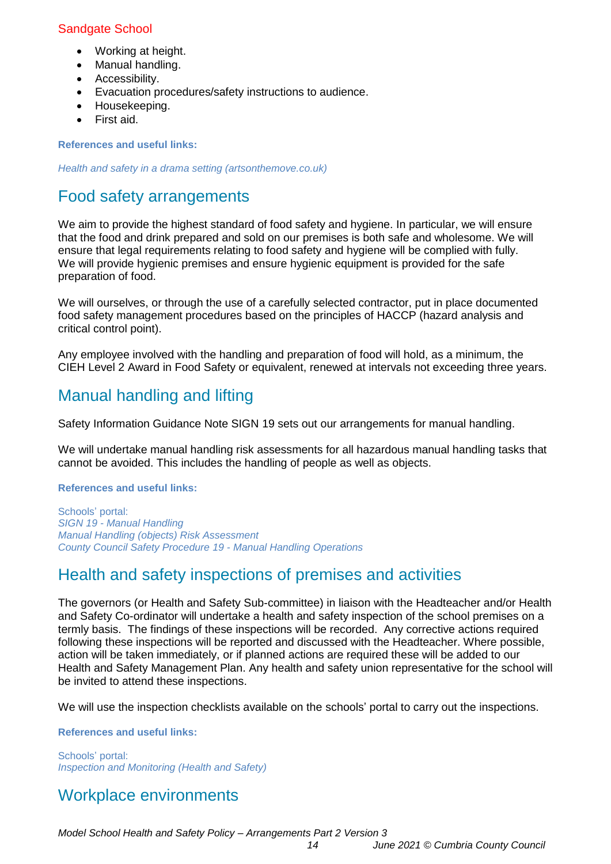- Working at height.
- Manual handling.
- Accessibility.
- Evacuation procedures/safety instructions to audience.
- Housekeeping.
- First aid.

**References and useful links:**

<span id="page-13-0"></span>*[Health and safety in a drama setting \(artsonthemove.co.uk\)](https://www.artsonthemove.co.uk/education/health-and-safety.php)*

# Food safety arrangements

We aim to provide the highest standard of food safety and hygiene. In particular, we will ensure that the food and drink prepared and sold on our premises is both safe and wholesome. We will ensure that legal requirements relating to food safety and hygiene will be complied with fully. We will provide hygienic premises and ensure hygienic equipment is provided for the safe preparation of food.

We will ourselves, or through the use of a carefully selected contractor, put in place documented food safety management procedures based on the principles of HACCP (hazard analysis and critical control point).

Any employee involved with the handling and preparation of food will hold, as a minimum, the CIEH Level 2 Award in Food Safety or equivalent, renewed at intervals not exceeding three years.

# <span id="page-13-1"></span>Manual handling and lifting

Safety Information Guidance Note SIGN 19 sets out our arrangements for manual handling.

We will undertake manual handling risk assessments for all hazardous manual handling tasks that cannot be avoided. This includes the handling of people as well as objects.

#### **References and useful links:**

Schools' portal: *SIGN 19 - [Manual Handling](https://schools.cumbria.gov.uk/Reference%20Library/Forms/AllItems.aspx?RootFolder=%2FReference%20Library%2FHealth%20and%20Safety%2FSafety%20Information%20Guidance%20Notes%20%28SIGNS%29&FolderCTID=0x01200048726C2A165D504480BCAF32B116BC9E&View=%7B9FFF4988%2D18AD%2D4845%2D9E0A%2DC419CCBA536A%7D) [Manual Handling](https://schools.cumbria.gov.uk/Reference%20Library/Forms/AllItems.aspx?RootFolder=%2FReference%20Library%2FHealth%20and%20Safety%2FManual%20Handling&FolderCTID=0x01200048726C2A165D504480BCAF32B116BC9E&View=%7B9FFF4988%2D18AD%2D4845%2D9E0A%2DC419CCBA536A%7D) (objects) Risk Assessment [County Council Safety Procedure](https://schools.cumbria.gov.uk/Reference%20Library/Forms/AllItems.aspx?RootFolder=%2FReference%20Library%2FHealth%20and%20Safety%2FCounty%20Council%20Safety%20Procedures&FolderCTID=0x01200048726C2A165D504480BCAF32B116BC9E&View=%7B9FFF4988%2D18AD%2D4845%2D9E0A%2DC419CCBA536A%7D) 19 - Manual Handling Operations*

# <span id="page-13-2"></span>Health and safety inspections of premises and activities

The governors (or Health and Safety Sub-committee) in liaison with the Headteacher and/or Health and Safety Co-ordinator will undertake a health and safety inspection of the school premises on a termly basis. The findings of these inspections will be recorded. Any corrective actions required following these inspections will be reported and discussed with the Headteacher. Where possible, action will be taken immediately, or if planned actions are required these will be added to our Health and Safety Management Plan. Any health and safety union representative for the school will be invited to attend these inspections.

We will use the inspection checklists available on the schools' portal to carry out the inspections.

#### **References and useful links:**

Schools' portal: *Inspection and Monitoring (Health and Safety)*

# <span id="page-13-3"></span>Workplace environments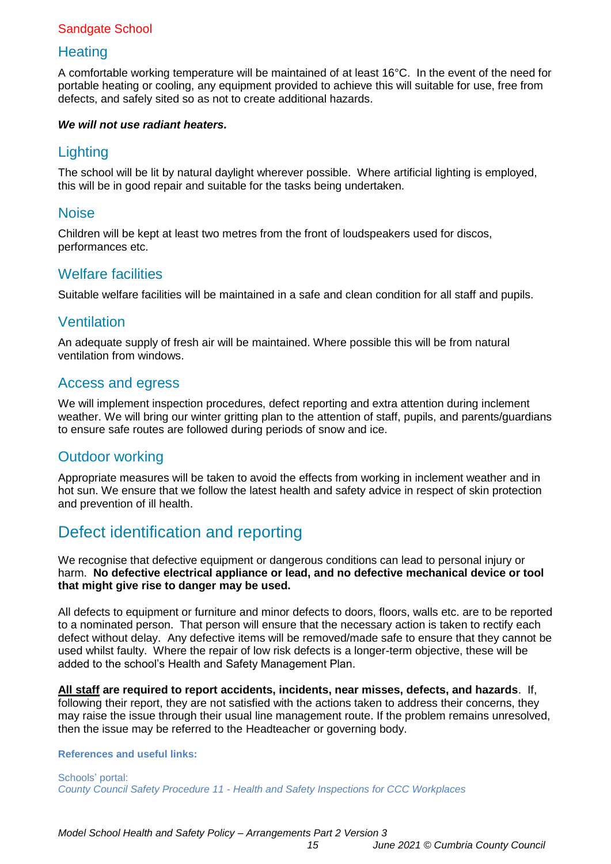### **Heating**

A comfortable working temperature will be maintained of at least 16°C. In the event of the need for portable heating or cooling, any equipment provided to achieve this will suitable for use, free from defects, and safely sited so as not to create additional hazards.

#### *We will not use radiant heaters.*

### **Lighting**

The school will be lit by natural daylight wherever possible. Where artificial lighting is employed, this will be in good repair and suitable for the tasks being undertaken.

### **Noise**

Children will be kept at least two metres from the front of loudspeakers used for discos, performances etc.

### Welfare facilities

Suitable welfare facilities will be maintained in a safe and clean condition for all staff and pupils.

### Ventilation

An adequate supply of fresh air will be maintained. Where possible this will be from natural ventilation from windows.

### Access and egress

We will implement inspection procedures, defect reporting and extra attention during inclement weather. We will bring our winter gritting plan to the attention of staff, pupils, and parents/guardians to ensure safe routes are followed during periods of snow and ice.

### Outdoor working

Appropriate measures will be taken to avoid the effects from working in inclement weather and in hot sun. We ensure that we follow the latest health and safety advice in respect of skin protection and prevention of ill health.

# <span id="page-14-0"></span>Defect identification and reporting

We recognise that defective equipment or dangerous conditions can lead to personal injury or harm. **No defective electrical appliance or lead, and no defective mechanical device or tool that might give rise to danger may be used.** 

All defects to equipment or furniture and minor defects to doors, floors, walls etc. are to be reported to a nominated person. That person will ensure that the necessary action is taken to rectify each defect without delay. Any defective items will be removed/made safe to ensure that they cannot be used whilst faulty. Where the repair of low risk defects is a longer-term objective, these will be added to the school's Health and Safety Management Plan.

**All staff are required to report accidents, incidents, near misses, defects, and hazards**. If, following their report, they are not satisfied with the actions taken to address their concerns, they may raise the issue through their usual line management route. If the problem remains unresolved, then the issue may be referred to the Headteacher or governing body.

#### **References and useful links:**

Schools' portal: *County Council Safety Procedure 11 - [Health and Safety Inspections for CCC Workplaces](https://schools.cumbria.gov.uk/Reference%20Library/Forms/AllItems.aspx?RootFolder=%2FReference%20Library%2FHealth%20and%20Safety%2FCounty%20Council%20Safety%20Procedures&FolderCTID=0x01200048726C2A165D504480BCAF32B116BC9E&View=%7B9FFF4988%2D18AD%2D4845%2D9E0A%2DC419CCBA536A%7D)*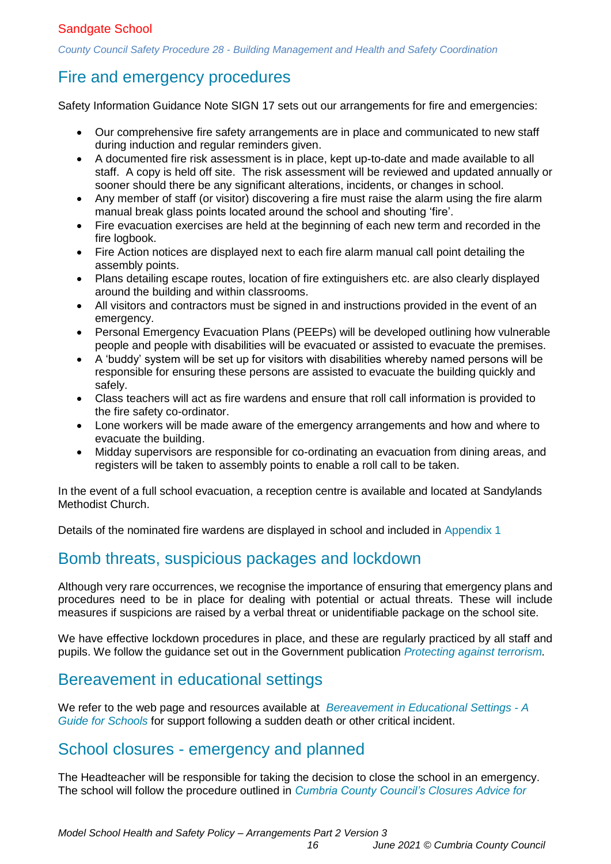*County Council Safety Procedure 28 - [Building Management and Health and Safety Coordination](https://schools.cumbria.gov.uk/Reference%20Library/Forms/AllItems.aspx?RootFolder=%2FReference%20Library%2FHealth%20and%20Safety%2FCounty%20Council%20Safety%20Procedures&FolderCTID=0x01200048726C2A165D504480BCAF32B116BC9E&View=%7B9FFF4988%2D18AD%2D4845%2D9E0A%2DC419CCBA536A%7D)*

# <span id="page-15-0"></span>Fire and emergency procedures

Safety Information Guidance Note SIGN 17 sets out our arrangements for fire and emergencies:

- Our comprehensive fire safety arrangements are in place and communicated to new staff during induction and regular reminders given.
- A documented fire risk assessment is in place, kept up-to-date and made available to all staff. A copy is held off site. The risk assessment will be reviewed and updated annually or sooner should there be any significant alterations, incidents, or changes in school.
- Any member of staff (or visitor) discovering a fire must raise the alarm using the fire alarm manual break glass points located around the school and shouting 'fire'.
- Fire evacuation exercises are held at the beginning of each new term and recorded in the fire logbook.
- Fire Action notices are displayed next to each fire alarm manual call point detailing the assembly points.
- Plans detailing escape routes, location of fire extinguishers etc. are also clearly displayed around the building and within classrooms.
- All visitors and contractors must be signed in and instructions provided in the event of an emergency.
- Personal Emergency Evacuation Plans (PEEPs) will be developed outlining how vulnerable people and people with disabilities will be evacuated or assisted to evacuate the premises.
- A 'buddy' system will be set up for visitors with disabilities whereby named persons will be responsible for ensuring these persons are assisted to evacuate the building quickly and safely.
- Class teachers will act as fire wardens and ensure that roll call information is provided to the fire safety co-ordinator.
- Lone workers will be made aware of the emergency arrangements and how and where to evacuate the building.
- Midday supervisors are responsible for co-ordinating an evacuation from dining areas, and registers will be taken to assembly points to enable a roll call to be taken.

In the event of a full school evacuation, a reception centre is available and located at Sandylands Methodist Church.

<span id="page-15-1"></span>Details of the nominated fire wardens are displayed in school and included in [Appendix 1](#page-23-0)

## Bomb threats, suspicious packages and lockdown

Although very rare occurrences, we recognise the importance of ensuring that emergency plans and procedures need to be in place for dealing with potential or actual threats. These will include measures if suspicions are raised by a verbal threat or unidentifiable package on the school site.

We have effective lockdown procedures in place, and these are regularly practiced by all staff and pupils. We follow the guidance set out in the Government publication *[Protecting against terrorism.](https://www.gov.uk/government/publications/protecting-against-terrorism)* 

## <span id="page-15-2"></span>Bereavement in educational settings

We refer to the web page and resources available at *[Bereavement in Educational Settings -](https://localoffer.cumbria.gov.uk/kb5/cumbria/fsd/advice.page?id=2imoH2hBqTs) A [Guide for Schools](https://localoffer.cumbria.gov.uk/kb5/cumbria/fsd/advice.page?id=2imoH2hBqTs)* for support following a sudden death or other critical incident.

## <span id="page-15-3"></span>School closures - emergency and planned

The Headteacher will be responsible for taking the decision to close the school in an emergency. The school will follow the procedure outlined in *[Cumbria County Council's Closures](https://schools.cumbria.gov.uk/_layouts/15/WopiFrame2.aspx?sourcedoc=/Reference%20Library/Health%20and%20Safety/Crisis%20Management%20and%20Emergencies%20in%20Schools/Closures%20Advice%20For%20Schools%20-%20January%202020.pdf&action=default) Advice for*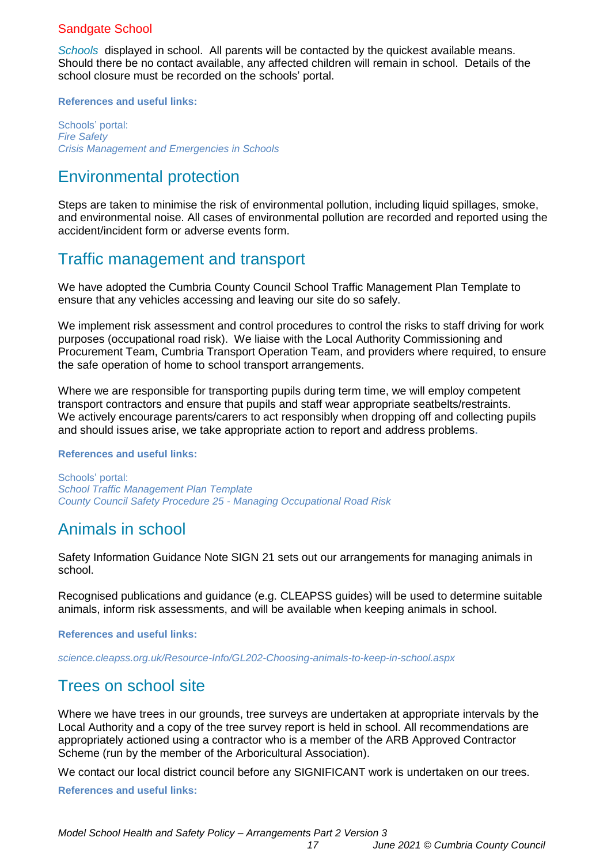*[Schools](https://schools.cumbria.gov.uk/_layouts/15/WopiFrame2.aspx?sourcedoc=/Reference%20Library/Health%20and%20Safety/Crisis%20Management%20and%20Emergencies%20in%20Schools/Closures%20Advice%20For%20Schools%20-%20January%202020.pdf&action=default)* displayed in school. All parents will be contacted by the quickest available means. Should there be no contact available, any affected children will remain in school. Details of the school closure must be recorded on the schools' portal.

#### **References and useful links:**

Schools' portal: *[Fire Safety](https://schools.cumbria.gov.uk/Reference%20Library/Forms/AllItems.aspx?RootFolder=%2FReference%20Library%2FHealth%20and%20Safety%2FFire%20Safety&FolderCTID=0x01200048726C2A165D504480BCAF32B116BC9E&View=%7B9FFF4988%2D18AD%2D4845%2D9E0A%2DC419CCBA536A%7D)  [Crisis Management and Emergencies in Schools](https://schools.cumbria.gov.uk/Reference%20Library/Forms/AllItems.aspx?RootFolder=%2FReference%20Library%2FHealth%20and%20Safety%2FCrisis%20Management%20and%20Emergencies%20in%20Schools&FolderCTID=0x01200048726C2A165D504480BCAF32B116BC9E&View=%7B9FFF4988%2D18AD%2D4845%2D9E0A%2DC419CCBA536A%7D)* 

## <span id="page-16-0"></span>Environmental protection

Steps are taken to minimise the risk of environmental pollution, including liquid spillages, smoke, and environmental noise. All cases of environmental pollution are recorded and reported using the accident/incident form or adverse events form.

# <span id="page-16-1"></span>Traffic management and transport

We have adopted the Cumbria County Council School Traffic Management Plan Template to ensure that any vehicles accessing and leaving our site do so safely.

We implement risk assessment and control procedures to control the risks to staff driving for work purposes (occupational road risk). We liaise with the Local Authority Commissioning and Procurement Team, Cumbria Transport Operation Team, and providers where required, to ensure the safe operation of home to school transport arrangements.

Where we are responsible for transporting pupils during term time, we will employ competent transport contractors and ensure that pupils and staff wear appropriate seatbelts/restraints. We actively encourage parents/carers to act responsibly when dropping off and collecting pupils and should issues arise, we take appropriate action to report and address problems**.**

#### **References and useful links:**

Schools' portal: *[School Traffic Management Plan](https://schools.cumbria.gov.uk/Reference%20Library/Forms/AllItems.aspx?RootFolder=%2FReference%20Library%2FHealth%20and%20Safety%2FTransport%20and%20Traffic%20Management&FolderCTID=0x01200048726C2A165D504480BCAF32B116BC9E&View=%7B9FFF4988%2D18AD%2D4845%2D9E0A%2DC419CCBA536A%7D) Template [County Council Safety Procedure 25](https://schools.cumbria.gov.uk/Reference%20Library/Forms/AllItems.aspx?RootFolder=%2FReference%20Library%2FHealth%20and%20Safety%2FCounty%20Council%20Safety%20Procedures&FolderCTID=0x01200048726C2A165D504480BCAF32B116BC9E&View=%7B9FFF4988%2D18AD%2D4845%2D9E0A%2DC419CCBA536A%7D) - Managing Occupational Road Risk*

## <span id="page-16-2"></span>Animals in school

Safety Information Guidance Note SIGN 21 sets out our arrangements for managing animals in school.

Recognised publications and guidance (e.g. CLEAPSS guides) will be used to determine suitable animals, inform risk assessments, and will be available when keeping animals in school.

**References and useful links:**

<span id="page-16-3"></span>*[science.cleapss.org.uk/Resource-Info/GL202-Choosing-animals-to-keep-in-school.aspx](http://science.cleapss.org.uk/Resource-Info/GL202-Choosing-animals-to-keep-in-school.aspx)*

### Trees on school site

Where we have trees in our grounds, tree surveys are undertaken at appropriate intervals by the Local Authority and a copy of the tree survey report is held in school. All recommendations are appropriately actioned using a contractor who is a member of the ARB Approved Contractor Scheme (run by the member of the Arboricultural Association).

We contact our local district council before any SIGNIFICANT work is undertaken on our trees.

**References and useful links:**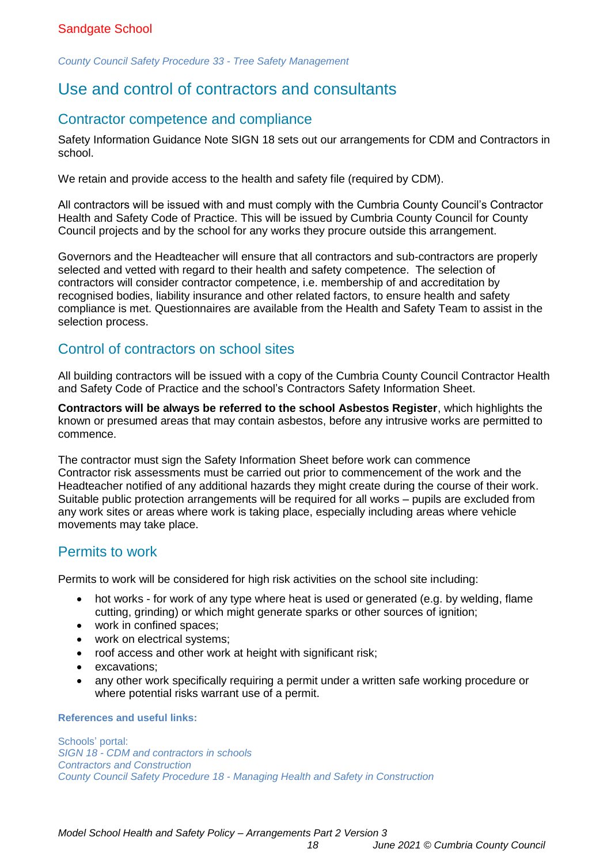<span id="page-17-0"></span>*[County Council Safety Procedure](https://schools.cumbria.gov.uk/Reference%20Library/Forms/AllItems.aspx?RootFolder=%2FReference%20Library%2FHealth%20and%20Safety%2FCounty%20Council%20Safety%20Procedures&FolderCTID=0x01200048726C2A165D504480BCAF32B116BC9E&View=%7B9FFF4988%2D18AD%2D4845%2D9E0A%2DC419CCBA536A%7D) 33 - Tree Safety Management*

# Use and control of contractors and consultants

### Contractor competence and compliance

Safety Information Guidance Note SIGN 18 sets out our arrangements for CDM and Contractors in school.

We retain and provide access to the health and safety file (required by CDM).

All contractors will be issued with and must comply with the Cumbria County Council's Contractor Health and Safety Code of Practice. This will be issued by Cumbria County Council for County Council projects and by the school for any works they procure outside this arrangement.

Governors and the Headteacher will ensure that all contractors and sub-contractors are properly selected and vetted with regard to their health and safety competence. The selection of contractors will consider contractor competence, i.e. membership of and accreditation by recognised bodies, liability insurance and other related factors, to ensure health and safety compliance is met. Questionnaires are available from the Health and Safety Team to assist in the selection process.

### Control of contractors on school sites

All building contractors will be issued with a copy of the Cumbria County Council Contractor Health and Safety Code of Practice and the school's Contractors Safety Information Sheet.

**Contractors will be always be referred to the school Asbestos Register**, which highlights the known or presumed areas that may contain asbestos, before any intrusive works are permitted to commence.

The contractor must sign the Safety Information Sheet before work can commence Contractor risk assessments must be carried out prior to commencement of the work and the Headteacher notified of any additional hazards they might create during the course of their work. Suitable public protection arrangements will be required for all works – pupils are excluded from any work sites or areas where work is taking place, especially including areas where vehicle movements may take place.

### Permits to work

Permits to work will be considered for high risk activities on the school site including:

- hot works for work of any type where heat is used or generated (e.g. by welding, flame cutting, grinding) or which might generate sparks or other sources of ignition;
- work in confined spaces;
- work on electrical systems;
- roof access and other work at height with significant risk;
- excavations;
- any other work specifically requiring a permit under a written safe working procedure or where potential risks warrant use of a permit.

#### **References and useful links:**

Schools' portal: *SIGN 18 - [CDM and contractors in](https://schools.cumbria.gov.uk/Reference%20Library/Forms/AllItems.aspx?RootFolder=%2FReference%20Library%2FHealth%20and%20Safety%2FSafety%20Information%20Guidance%20Notes%20%28SIGNS%29&FolderCTID=0x01200048726C2A165D504480BCAF32B116BC9E&View=%7B9FFF4988%2D18AD%2D4845%2D9E0A%2DC419CCBA536A%7D) schools [Contractors and Construction](https://schools.cumbria.gov.uk/Reference%20Library/Forms/AllItems.aspx?RootFolder=%2FReference%20Library%2FHealth%20and%20Safety%2FContractors%20and%20Construction&FolderCTID=0x01200048726C2A165D504480BCAF32B116BC9E&View=%7B9FFF4988%2D18AD%2D4845%2D9E0A%2DC419CCBA536A%7D) County Council Safety Procedure 18 - [Managing Health and Safety in Construction](https://schools.cumbria.gov.uk/Reference%20Library/Forms/AllItems.aspx?RootFolder=%2FReference%20Library%2FHealth%20and%20Safety%2FCounty%20Council%20Safety%20Procedures&FolderCTID=0x01200048726C2A165D504480BCAF32B116BC9E&View=%7B9FFF4988%2D18AD%2D4845%2D9E0A%2DC419CCBA536A%7D)*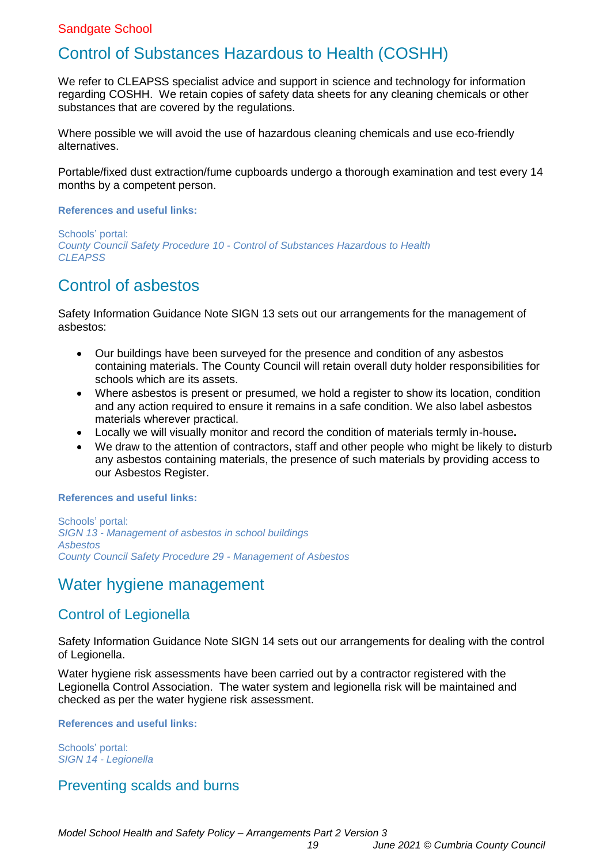# <span id="page-18-0"></span>Control of Substances Hazardous to Health (COSHH)

We refer to CLEAPSS specialist advice and support in science and technology for information regarding COSHH. We retain copies of safety data sheets for any cleaning chemicals or other substances that are covered by the regulations.

Where possible we will avoid the use of hazardous cleaning chemicals and use eco-friendly alternatives.

Portable/fixed dust extraction/fume cupboards undergo a thorough examination and test every 14 months by a competent person.

#### **References and useful links:**

Schools' portal: *County Council Safety Procedure 10 - [Control of Substances Hazardous to Health](https://schools.cumbria.gov.uk/Reference%20Library/Forms/AllItems.aspx?RootFolder=%2FReference%20Library%2FHealth%20and%20Safety%2FCounty%20Council%20Safety%20Procedures&FolderCTID=0x01200048726C2A165D504480BCAF32B116BC9E&View=%7B9FFF4988%2D18AD%2D4845%2D9E0A%2DC419CCBA536A%7D) [CLEAPSS](https://science.cleapss.org.uk/login.aspx?logout=true)*

# <span id="page-18-1"></span>Control of asbestos

Safety Information Guidance Note SIGN 13 sets out our arrangements for the management of asbestos:

- Our buildings have been surveyed for the presence and condition of any asbestos containing materials. The County Council will retain overall duty holder responsibilities for schools which are its assets.
- Where asbestos is present or presumed, we hold a register to show its location, condition and any action required to ensure it remains in a safe condition. We also label asbestos materials wherever practical.
- Locally we will visually monitor and record the condition of materials termly in-house**.**
- We draw to the attention of contractors, staff and other people who might be likely to disturb any asbestos containing materials, the presence of such materials by providing access to our Asbestos Register.

#### **References and useful links:**

Schools' portal: *SIGN 13 - [Management of asbestos in school](https://schools.cumbria.gov.uk/Reference%20Library/Forms/AllItems.aspx?RootFolder=%2FReference%20Library%2FHealth%20and%20Safety%2FSafety%20Information%20Guidance%20Notes%20%28SIGNS%29&FolderCTID=0x01200048726C2A165D504480BCAF32B116BC9E&View=%7B9FFF4988%2D18AD%2D4845%2D9E0A%2DC419CCBA536A%7D) buildings [Asbestos](https://schools.cumbria.gov.uk/Reference%20Library/Forms/AllItems.aspx?RootFolder=%2FReference%20Library%2FHealth%20and%20Safety%2FAsbestos&FolderCTID=0x01200048726C2A165D504480BCAF32B116BC9E&View=%7B9FFF4988%2D18AD%2D4845%2D9E0A%2DC419CCBA536A%7D)  [County Council Safety Procedure 29](https://schools.cumbria.gov.uk/Reference%20Library/Forms/AllItems.aspx?RootFolder=%2FReference%20Library%2FHealth%20and%20Safety%2FCounty%20Council%20Safety%20Procedures&FolderCTID=0x01200048726C2A165D504480BCAF32B116BC9E&View=%7B9FFF4988%2D18AD%2D4845%2D9E0A%2DC419CCBA536A%7D) - Management of Asbestos*

### <span id="page-18-2"></span>Water hygiene management

### Control of Legionella

Safety Information Guidance Note SIGN 14 sets out our arrangements for dealing with the control of Legionella.

Water hygiene risk assessments have been carried out by a contractor registered with the Legionella Control Association. The water system and legionella risk will be maintained and checked as per the water hygiene risk assessment.

#### **References and useful links:**

Schools' portal: *SIGN 14 - [Legionella](https://schools.cumbria.gov.uk/Reference%20Library/Forms/AllItems.aspx?RootFolder=%2FReference%20Library%2FHealth%20and%20Safety%2FSafety%20Information%20Guidance%20Notes%20%28SIGNS%29&FolderCTID=0x01200048726C2A165D504480BCAF32B116BC9E&View=%7B9FFF4988%2D18AD%2D4845%2D9E0A%2DC419CCBA536A%7D)*

### Preventing scalds and burns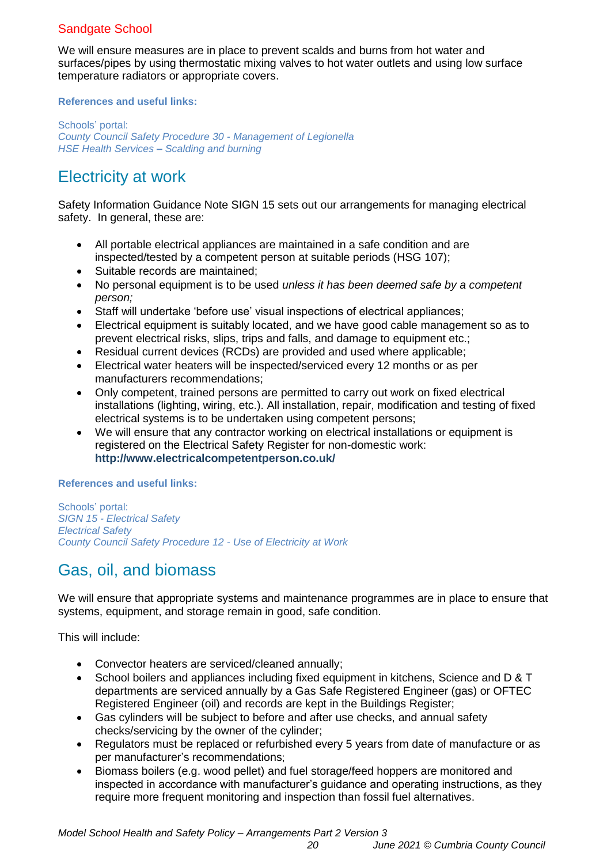We will ensure measures are in place to prevent scalds and burns from hot water and surfaces/pipes by using thermostatic mixing valves to hot water outlets and using low surface temperature radiators or appropriate covers.

#### **References and useful links:**

Schools' portal: *[County Council Safety Procedure 30](https://schools.cumbria.gov.uk/Reference%20Library/Forms/AllItems.aspx?RootFolder=%2FReference%20Library%2FHealth%20and%20Safety%2FCounty%20Council%20Safety%20Procedures&FolderCTID=0x01200048726C2A165D504480BCAF32B116BC9E&View=%7B9FFF4988%2D18AD%2D4845%2D9E0A%2DC419CCBA536A%7D) - Management of Legionella HSE Health Services – [Scalding and burning](https://www.hse.gov.uk/healthservices/scalding-burning.htm)*

# <span id="page-19-0"></span>Electricity at work

Safety Information Guidance Note SIGN 15 sets out our arrangements for managing electrical safety. In general, these are:

- All portable electrical appliances are maintained in a safe condition and are inspected/tested by a competent person at suitable periods (HSG 107);
- Suitable records are maintained:
- No personal equipment is to be used *unless it has been deemed safe by a competent person;*
- Staff will undertake 'before use' visual inspections of electrical appliances;
- Electrical equipment is suitably located, and we have good cable management so as to prevent electrical risks, slips, trips and falls, and damage to equipment etc.;
- Residual current devices (RCDs) are provided and used where applicable;
- Electrical water heaters will be inspected/serviced every 12 months or as per manufacturers recommendations;
- Only competent, trained persons are permitted to carry out work on fixed electrical installations (lighting, wiring, etc.). All installation, repair, modification and testing of fixed electrical systems is to be undertaken using competent persons;
- We will ensure that any contractor working on electrical installations or equipment is registered on the Electrical Safety Register for non-domestic work: **<http://www.electricalcompetentperson.co.uk/>**

#### **References and useful links:**

Schools' portal: *SIGN 15 - [Electrical Safety](https://schools.cumbria.gov.uk/Reference%20Library/Forms/AllItems.aspx?RootFolder=%2FReference%20Library%2FHealth%20and%20Safety%2FSafety%20Information%20Guidance%20Notes%20%28SIGNS%29&FolderCTID=0x01200048726C2A165D504480BCAF32B116BC9E&View=%7B9FFF4988%2D18AD%2D4845%2D9E0A%2DC419CCBA536A%7D)  [Electrical Safety](https://schools.cumbria.gov.uk/Reference%20Library/Forms/AllItems.aspx?RootFolder=%2FReference%20Library%2FHealth%20and%20Safety%2FElectrical%20Safety&FolderCTID=0x01200048726C2A165D504480BCAF32B116BC9E&View=%7B9FFF4988%2D18AD%2D4845%2D9E0A%2DC419CCBA536A%7D)  [County Council Safety Procedure 12](https://schools.cumbria.gov.uk/Reference%20Library/Forms/AllItems.aspx?RootFolder=%2FReference%20Library%2FHealth%20and%20Safety%2FCounty%20Council%20Safety%20Procedures&FolderCTID=0x01200048726C2A165D504480BCAF32B116BC9E&View=%7B9FFF4988%2D18AD%2D4845%2D9E0A%2DC419CCBA536A%7D) - Use of Electricity at Work*

# <span id="page-19-1"></span>Gas, oil, and biomass

We will ensure that appropriate systems and maintenance programmes are in place to ensure that systems, equipment, and storage remain in good, safe condition.

This will include:

- Convector heaters are serviced/cleaned annually:
- School boilers and appliances including fixed equipment in kitchens, Science and D & T departments are serviced annually by a Gas Safe Registered Engineer (gas) or OFTEC Registered Engineer (oil) and records are kept in the Buildings Register;
- Gas cylinders will be subject to before and after use checks, and annual safety checks/servicing by the owner of the cylinder;
- Regulators must be replaced or refurbished every 5 years from date of manufacture or as per manufacturer's recommendations;
- Biomass boilers (e.g. wood pellet) and fuel storage/feed hoppers are monitored and inspected in accordance with manufacturer's guidance and operating instructions, as they require more frequent monitoring and inspection than fossil fuel alternatives.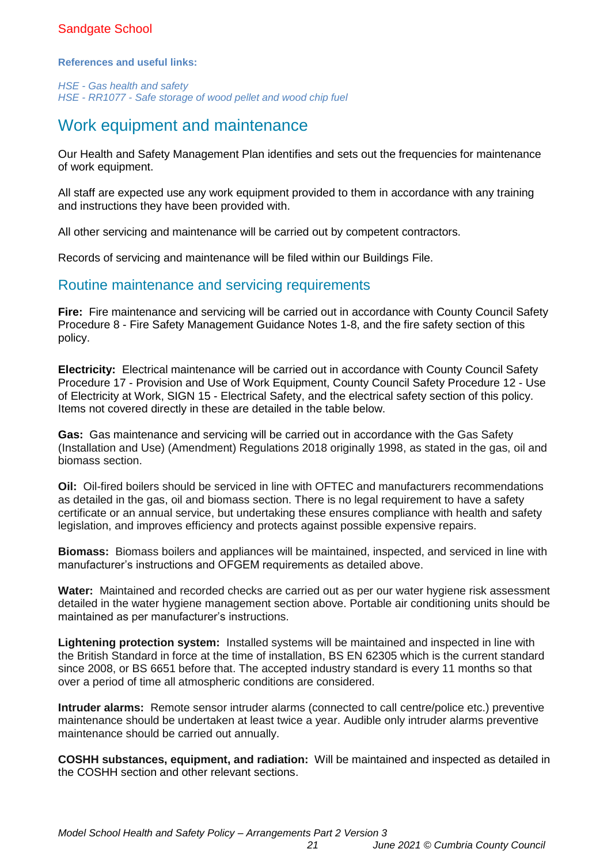#### **References and useful links:**

*HSE - [Gas health and safety](https://www.hse.gov.uk/gas/)  HSE - RR1077 - [Safe storage of wood pellet and wood chip fuel](https://www.hse.gov.uk/research/rrhtm/rr1077.htm)*

## <span id="page-20-0"></span>Work equipment and maintenance

Our Health and Safety Management Plan identifies and sets out the frequencies for maintenance of work equipment.

All staff are expected use any work equipment provided to them in accordance with any training and instructions they have been provided with.

All other servicing and maintenance will be carried out by competent contractors.

Records of servicing and maintenance will be filed within our Buildings File.

### Routine maintenance and servicing requirements

**Fire:** Fire maintenance and servicing will be carried out in accordance with County Council Safety Procedure 8 - Fire Safety Management Guidance Notes 1-8, and the fire safety section of this policy.

**Electricity:** Electrical maintenance will be carried out in accordance with County Council Safety Procedure 17 - Provision and Use of Work Equipment, County Council Safety Procedure 12 - Use of Electricity at Work, SIGN 15 - Electrical Safety, and the electrical safety section of this policy. Items not covered directly in these are detailed in the table below.

**Gas:** Gas maintenance and servicing will be carried out in accordance with the Gas Safety (Installation and Use) (Amendment) Regulations 2018 originally 1998, as stated in the gas, oil and biomass section.

**Oil:** Oil-fired boilers should be serviced in line with OFTEC and manufacturers recommendations as detailed in the gas, oil and biomass section. There is no legal requirement to have a safety certificate or an annual service, but undertaking these ensures compliance with health and safety legislation, and improves efficiency and protects against possible expensive repairs.

**Biomass:** Biomass boilers and appliances will be maintained, inspected, and serviced in line with manufacturer's instructions and OFGEM requirements as detailed above.

**Water:** Maintained and recorded checks are carried out as per our water hygiene risk assessment detailed in the water hygiene management section above. Portable air conditioning units should be maintained as per manufacturer's instructions.

**Lightening protection system:** Installed systems will be maintained and inspected in line with the British Standard in force at the time of installation, BS EN 62305 which is the current standard since 2008, or BS 6651 before that. The accepted industry standard is every 11 months so that over a period of time all atmospheric conditions are considered.

**Intruder alarms:** Remote sensor intruder alarms (connected to call centre/police etc.) preventive maintenance should be undertaken at least twice a year. Audible only intruder alarms preventive maintenance should be carried out annually.

**COSHH substances, equipment, and radiation:** Will be maintained and inspected as detailed in the COSHH section and other relevant sections.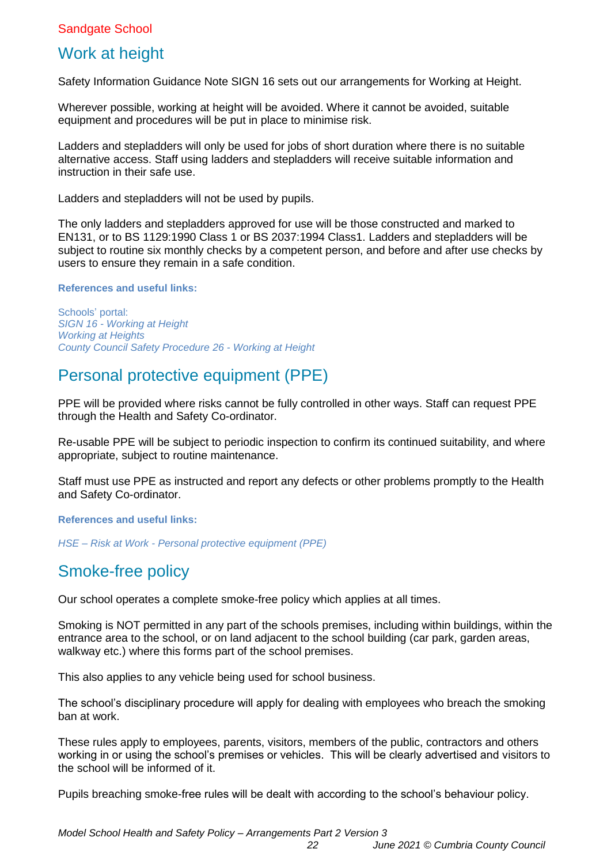# <span id="page-21-0"></span>Work at height

Safety Information Guidance Note SIGN 16 sets out our arrangements for Working at Height.

Wherever possible, working at height will be avoided. Where it cannot be avoided, suitable equipment and procedures will be put in place to minimise risk.

Ladders and stepladders will only be used for jobs of short duration where there is no suitable alternative access. Staff using ladders and stepladders will receive suitable information and instruction in their safe use.

Ladders and stepladders will not be used by pupils.

The only ladders and stepladders approved for use will be those constructed and marked to EN131, or to BS 1129:1990 Class 1 or BS 2037:1994 Class1. Ladders and stepladders will be subject to routine six monthly checks by a competent person, and before and after use checks by users to ensure they remain in a safe condition.

**References and useful links:**

Schools' portal: *SIGN 16 - [Working at Height](https://schools.cumbria.gov.uk/Reference%20Library/Forms/AllItems.aspx?RootFolder=%2FReference%20Library%2FHealth%20and%20Safety%2FSafety%20Information%20Guidance%20Notes%20%28SIGNS%29&FolderCTID=0x01200048726C2A165D504480BCAF32B116BC9E&View=%7B9FFF4988%2D18AD%2D4845%2D9E0A%2DC419CCBA536A%7D)  [Working at Heights](https://schools.cumbria.gov.uk/Reference%20Library/Forms/AllItems.aspx?RootFolder=%2FReference%20Library%2FHealth%20and%20Safety%2FWorking%20at%20Heights&FolderCTID=0x01200048726C2A165D504480BCAF32B116BC9E&View=%7B9FFF4988%2D18AD%2D4845%2D9E0A%2DC419CCBA536A%7D) [County Council Safety Procedure](https://schools.cumbria.gov.uk/Reference%20Library/Forms/AllItems.aspx?RootFolder=%2FReference%20Library%2FHealth%20and%20Safety%2FCounty%20Council%20Safety%20Procedures&FolderCTID=0x01200048726C2A165D504480BCAF32B116BC9E&View=%7B9FFF4988%2D18AD%2D4845%2D9E0A%2DC419CCBA536A%7D) 26 - Working at Height*

## <span id="page-21-1"></span>Personal protective equipment (PPE)

PPE will be provided where risks cannot be fully controlled in other ways. Staff can request PPE through the Health and Safety Co-ordinator.

Re-usable PPE will be subject to periodic inspection to confirm its continued suitability, and where appropriate, subject to routine maintenance.

Staff must use PPE as instructed and report any defects or other problems promptly to the Health and Safety Co-ordinator.

**References and useful links:**

<span id="page-21-2"></span>*HSE – Risk at Work - [Personal protective equipment \(PPE\)](https://www.hse.gov.uk/toolbox/ppe.htm)*

# Smoke-free policy

Our school operates a complete smoke-free policy which applies at all times.

Smoking is NOT permitted in any part of the schools premises, including within buildings, within the entrance area to the school, or on land adjacent to the school building (car park, garden areas, walkway etc.) where this forms part of the school premises.

This also applies to any vehicle being used for school business.

The school's disciplinary procedure will apply for dealing with employees who breach the smoking ban at work.

These rules apply to employees, parents, visitors, members of the public, contractors and others working in or using the school's premises or vehicles. This will be clearly advertised and visitors to the school will be informed of it.

Pupils breaching smoke-free rules will be dealt with according to the school's behaviour policy.

*Model School Health and Safety Policy – Arrangements Part 2 Version 3*

*22 June 2021 © Cumbria County Council*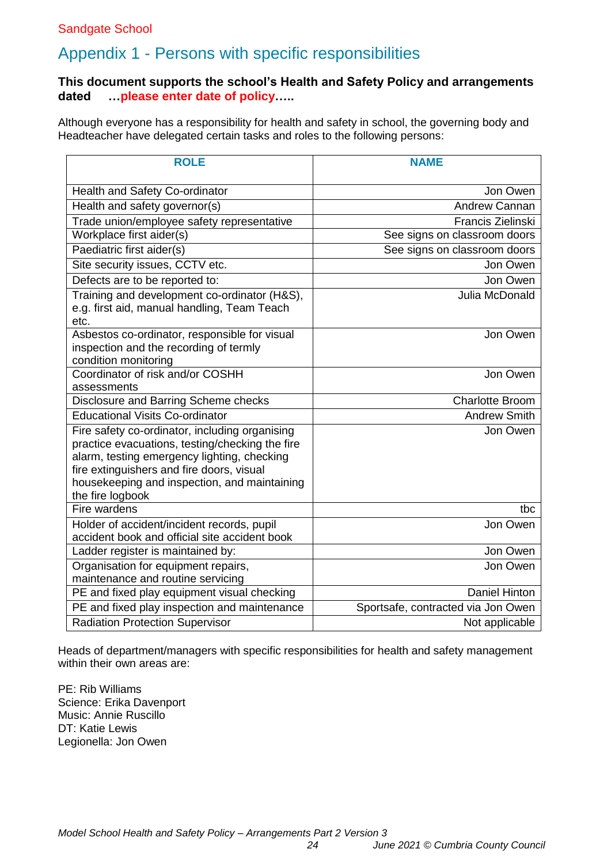# <span id="page-23-0"></span>Appendix 1 - Persons with specific responsibilities

#### **This document supports the school's Health and Safety Policy and arrangements dated …please enter date of policy…..**

Although everyone has a responsibility for health and safety in school, the governing body and Headteacher have delegated certain tasks and roles to the following persons:

| <b>ROLE</b>                                                                                                                                                                                                                                                       | <b>NAME</b>                        |
|-------------------------------------------------------------------------------------------------------------------------------------------------------------------------------------------------------------------------------------------------------------------|------------------------------------|
|                                                                                                                                                                                                                                                                   |                                    |
| Health and Safety Co-ordinator                                                                                                                                                                                                                                    | Jon Owen                           |
| Health and safety governor(s)                                                                                                                                                                                                                                     | <b>Andrew Cannan</b>               |
| Trade union/employee safety representative                                                                                                                                                                                                                        | <b>Francis Zielinski</b>           |
| Workplace first aider(s)                                                                                                                                                                                                                                          | See signs on classroom doors       |
| Paediatric first aider(s)                                                                                                                                                                                                                                         | See signs on classroom doors       |
| Site security issues, CCTV etc.                                                                                                                                                                                                                                   | Jon Owen                           |
| Defects are to be reported to:                                                                                                                                                                                                                                    | Jon Owen                           |
| Training and development co-ordinator (H&S),<br>e.g. first aid, manual handling, Team Teach<br>etc.                                                                                                                                                               | Julia McDonald                     |
| Asbestos co-ordinator, responsible for visual<br>inspection and the recording of termly<br>condition monitoring                                                                                                                                                   | Jon Owen                           |
| Coordinator of risk and/or COSHH                                                                                                                                                                                                                                  | Jon Owen                           |
| assessments                                                                                                                                                                                                                                                       |                                    |
| Disclosure and Barring Scheme checks                                                                                                                                                                                                                              | <b>Charlotte Broom</b>             |
| <b>Educational Visits Co-ordinator</b>                                                                                                                                                                                                                            | <b>Andrew Smith</b>                |
| Fire safety co-ordinator, including organising<br>practice evacuations, testing/checking the fire<br>alarm, testing emergency lighting, checking<br>fire extinguishers and fire doors, visual<br>housekeeping and inspection, and maintaining<br>the fire logbook | Jon Owen                           |
| Fire wardens                                                                                                                                                                                                                                                      | tbc                                |
| Holder of accident/incident records, pupil<br>accident book and official site accident book                                                                                                                                                                       | Jon Owen                           |
| Ladder register is maintained by:                                                                                                                                                                                                                                 | Jon Owen                           |
| Organisation for equipment repairs,<br>maintenance and routine servicing                                                                                                                                                                                          | Jon Owen                           |
| PE and fixed play equipment visual checking                                                                                                                                                                                                                       | <b>Daniel Hinton</b>               |
| PE and fixed play inspection and maintenance                                                                                                                                                                                                                      | Sportsafe, contracted via Jon Owen |
| <b>Radiation Protection Supervisor</b>                                                                                                                                                                                                                            | Not applicable                     |

Heads of department/managers with specific responsibilities for health and safety management within their own areas are:

PE: Rib Williams Science: Erika Davenport Music: Annie Ruscillo DT: Katie Lewis Legionella: Jon Owen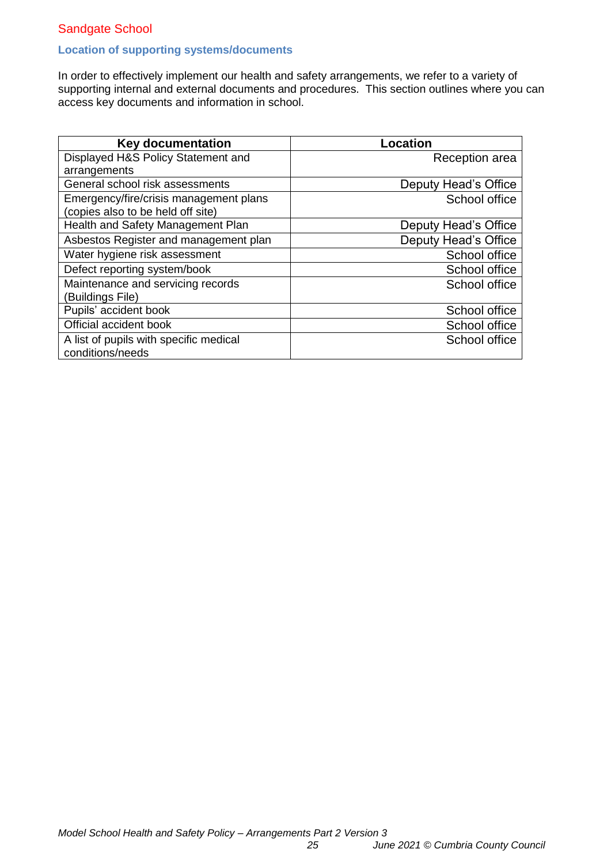#### **Location of supporting systems/documents**

In order to effectively implement our health and safety arrangements, we refer to a variety of supporting internal and external documents and procedures. This section outlines where you can access key documents and information in school.

| <b>Key documentation</b>               | <b>Location</b>      |
|----------------------------------------|----------------------|
| Displayed H&S Policy Statement and     | Reception area       |
| arrangements                           |                      |
| General school risk assessments        | Deputy Head's Office |
| Emergency/fire/crisis management plans | School office        |
| (copies also to be held off site)      |                      |
| Health and Safety Management Plan      | Deputy Head's Office |
| Asbestos Register and management plan  | Deputy Head's Office |
| Water hygiene risk assessment          | School office        |
| Defect reporting system/book           | School office        |
| Maintenance and servicing records      | School office        |
| (Buildings File)                       |                      |
| Pupils' accident book                  | School office        |
| Official accident book                 | School office        |
| A list of pupils with specific medical | School office        |
| conditions/needs                       |                      |